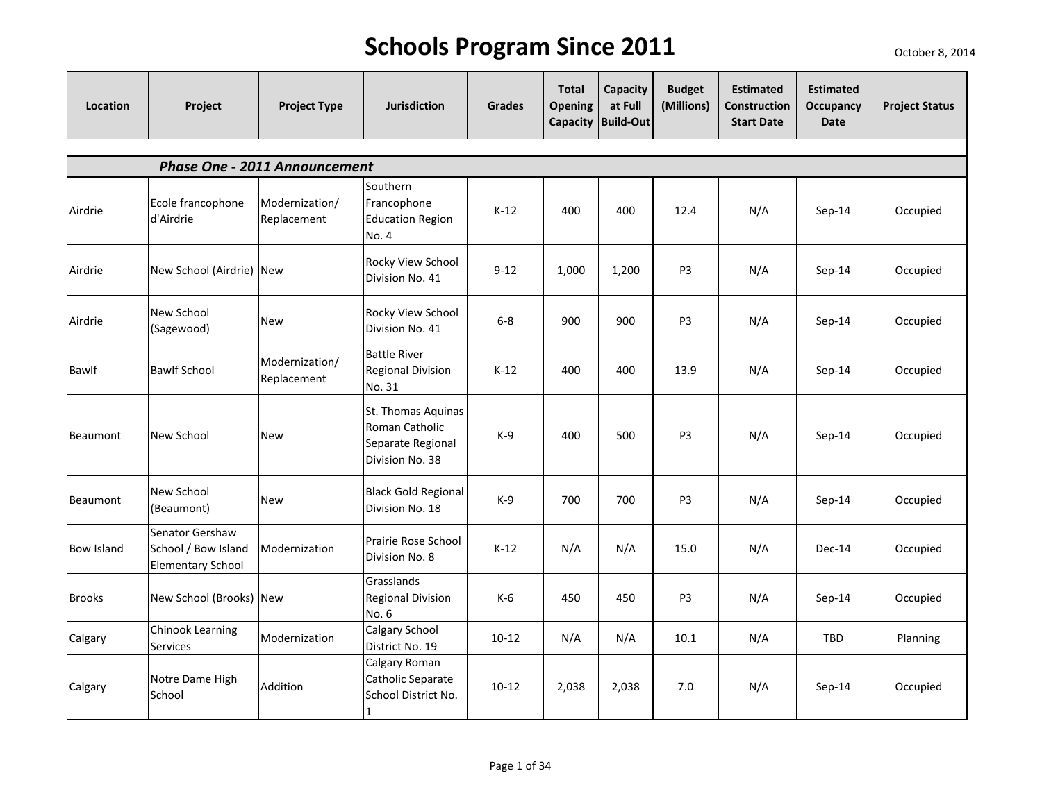| Location          | Project                                                            | <b>Project Type</b>                  | <b>Jurisdiction</b>                                                          | <b>Grades</b> | <b>Total</b><br><b>Opening</b> | Capacity<br>at Full<br>Capacity Build-Out | <b>Budget</b><br>(Millions) | <b>Estimated</b><br>Construction<br><b>Start Date</b> | <b>Estimated</b><br>Occupancy<br><b>Date</b> | <b>Project Status</b> |
|-------------------|--------------------------------------------------------------------|--------------------------------------|------------------------------------------------------------------------------|---------------|--------------------------------|-------------------------------------------|-----------------------------|-------------------------------------------------------|----------------------------------------------|-----------------------|
|                   |                                                                    |                                      |                                                                              |               |                                |                                           |                             |                                                       |                                              |                       |
|                   |                                                                    | <b>Phase One - 2011 Announcement</b> |                                                                              |               |                                |                                           |                             |                                                       |                                              |                       |
| Airdrie           | Ecole francophone<br>d'Airdrie                                     | Modernization/<br>Replacement        | Southern<br>Francophone<br><b>Education Region</b><br>No. 4                  | $K-12$        | 400                            | 400                                       | 12.4                        | N/A                                                   | Sep-14                                       | Occupied              |
| Airdrie           | New School (Airdrie) New                                           |                                      | Rocky View School<br>Division No. 41                                         | $9 - 12$      | 1,000                          | 1,200                                     | P <sub>3</sub>              | N/A                                                   | Sep-14                                       | Occupied              |
| Airdrie           | New School<br>(Sagewood)                                           | <b>New</b>                           | Rocky View School<br>Division No. 41                                         | $6-8$         | 900                            | 900                                       | P <sub>3</sub>              | N/A                                                   | Sep-14                                       | Occupied              |
| Bawlf             | <b>Bawlf School</b>                                                | Modernization/<br>Replacement        | <b>Battle River</b><br><b>Regional Division</b><br>No. 31                    | $K-12$        | 400                            | 400                                       | 13.9                        | N/A                                                   | Sep-14                                       | Occupied              |
| Beaumont          | New School                                                         | <b>New</b>                           | St. Thomas Aquinas<br>Roman Catholic<br>Separate Regional<br>Division No. 38 | $K-9$         | 400                            | 500                                       | P <sub>3</sub>              | N/A                                                   | Sep-14                                       | Occupied              |
| Beaumont          | New School<br>(Beaumont)                                           | <b>New</b>                           | <b>Black Gold Regional</b><br>Division No. 18                                | $K-9$         | 700                            | 700                                       | P3                          | N/A                                                   | Sep-14                                       | Occupied              |
| <b>Bow Island</b> | Senator Gershaw<br>School / Bow Island<br><b>Elementary School</b> | Modernization                        | Prairie Rose School<br>Division No. 8                                        | $K-12$        | N/A                            | N/A                                       | 15.0                        | N/A                                                   | Dec-14                                       | Occupied              |
| <b>Brooks</b>     | New School (Brooks) New                                            |                                      | Grasslands<br><b>Regional Division</b><br>No. 6                              | $K-6$         | 450                            | 450                                       | P <sub>3</sub>              | N/A                                                   | $Sep-14$                                     | Occupied              |
| Calgary           | Chinook Learning<br>Services                                       | Modernization                        | <b>Calgary School</b><br>District No. 19                                     | $10 - 12$     | N/A                            | N/A                                       | 10.1                        | N/A                                                   | TBD                                          | Planning              |
| Calgary           | Notre Dame High<br>School                                          | Addition                             | Calgary Roman<br>Catholic Separate<br>School District No.<br>1               | $10 - 12$     | 2,038                          | 2,038                                     | 7.0                         | N/A                                                   | Sep-14                                       | Occupied              |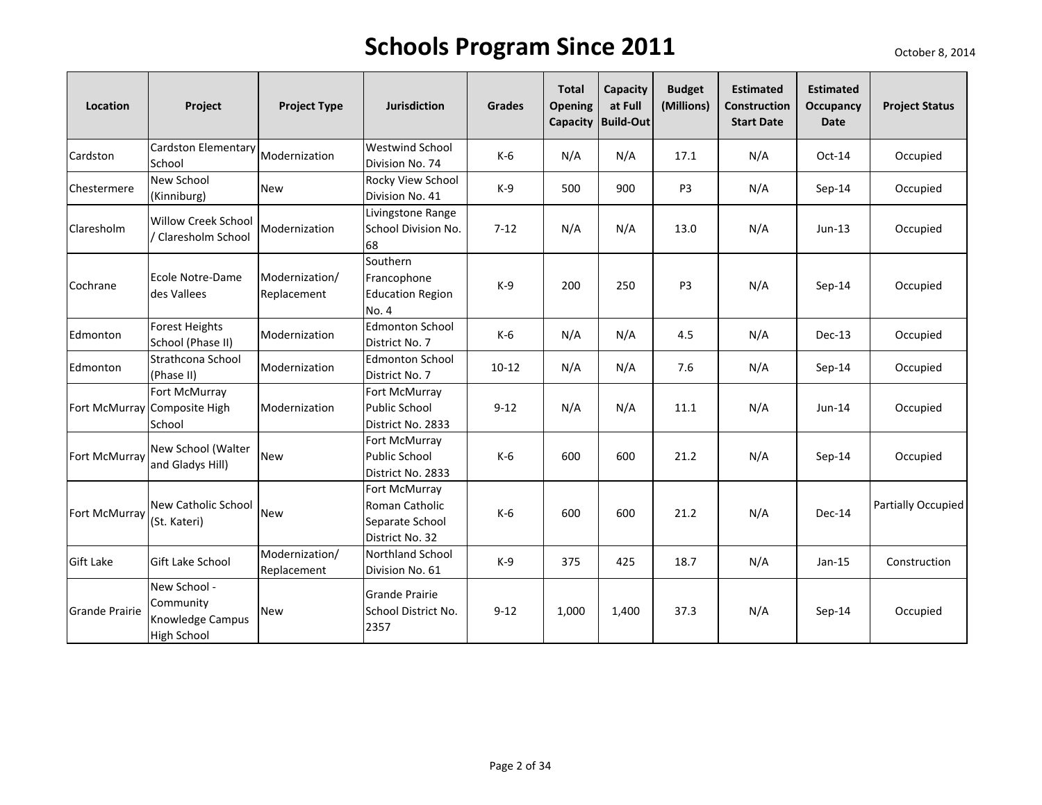| Location              | Project                                                             | <b>Project Type</b>           | <b>Jurisdiction</b>                                                   | Grades    | <b>Total</b><br>Opening | Capacity<br>at Full<br>Capacity   Build-Out | <b>Budget</b><br>(Millions) | <b>Estimated</b><br><b>Construction</b><br><b>Start Date</b> | <b>Estimated</b><br><b>Occupancy</b><br><b>Date</b> | <b>Project Status</b> |
|-----------------------|---------------------------------------------------------------------|-------------------------------|-----------------------------------------------------------------------|-----------|-------------------------|---------------------------------------------|-----------------------------|--------------------------------------------------------------|-----------------------------------------------------|-----------------------|
| Cardston              | Cardston Elementary<br>School                                       | Modernization                 | Westwind School<br>Division No. 74                                    | K-6       | N/A                     | N/A                                         | 17.1                        | N/A                                                          | Oct-14                                              | Occupied              |
| Chestermere           | New School<br>(Kinniburg)                                           | <b>New</b>                    | Rocky View School<br>Division No. 41                                  | $K-9$     | 500                     | 900                                         | P <sub>3</sub>              | N/A                                                          | $Sep-14$                                            | Occupied              |
| Claresholm            | Willow Creek School<br>/ Claresholm School                          | Modernization                 | Livingstone Range<br>School Division No.<br>68                        | $7 - 12$  | N/A                     | N/A                                         | 13.0                        | N/A                                                          | $Jun-13$                                            | Occupied              |
| Cochrane              | Ecole Notre-Dame<br>des Vallees                                     | Modernization/<br>Replacement | Southern<br>Francophone<br><b>Education Region</b><br>No. 4           | $K-9$     | 200                     | 250                                         | P <sub>3</sub>              | N/A                                                          | $Sep-14$                                            | Occupied              |
| Edmonton              | <b>Forest Heights</b><br>School (Phase II)                          | Modernization                 | <b>Edmonton School</b><br>District No. 7                              | K-6       | N/A                     | N/A                                         | 4.5                         | N/A                                                          | Dec-13                                              | Occupied              |
| Edmonton              | Strathcona School<br>(Phase II)                                     | Modernization                 | <b>Edmonton School</b><br>District No. 7                              | $10 - 12$ | N/A                     | N/A                                         | 7.6                         | N/A                                                          | Sep-14                                              | Occupied              |
|                       | Fort McMurray<br>Fort McMurray Composite High<br>School             | Modernization                 | Fort McMurray<br>Public School<br>District No. 2833                   | $9 - 12$  | N/A                     | N/A                                         | 11.1                        | N/A                                                          | Jun-14                                              | Occupied              |
| Fort McMurray         | New School (Walter<br>and Gladys Hill)                              | <b>New</b>                    | Fort McMurray<br><b>Public School</b><br>District No. 2833            | K-6       | 600                     | 600                                         | 21.2                        | N/A                                                          | Sep-14                                              | Occupied              |
| Fort McMurray         | <b>New Catholic School</b><br>(St. Kateri)                          | <b>New</b>                    | Fort McMurray<br>Roman Catholic<br>Separate School<br>District No. 32 | $K-6$     | 600                     | 600                                         | 21.2                        | N/A                                                          | Dec-14                                              | Partially Occupied    |
| <b>Gift Lake</b>      | Gift Lake School                                                    | Modernization/<br>Replacement | Northland School<br>Division No. 61                                   | $K-9$     | 375                     | 425                                         | 18.7                        | N/A                                                          | Jan-15                                              | Construction          |
| <b>Grande Prairie</b> | New School -<br>Community<br>Knowledge Campus<br><b>High School</b> | <b>New</b>                    | <b>Grande Prairie</b><br>School District No.<br>2357                  | $9 - 12$  | 1,000                   | 1,400                                       | 37.3                        | N/A                                                          | Sep-14                                              | Occupied              |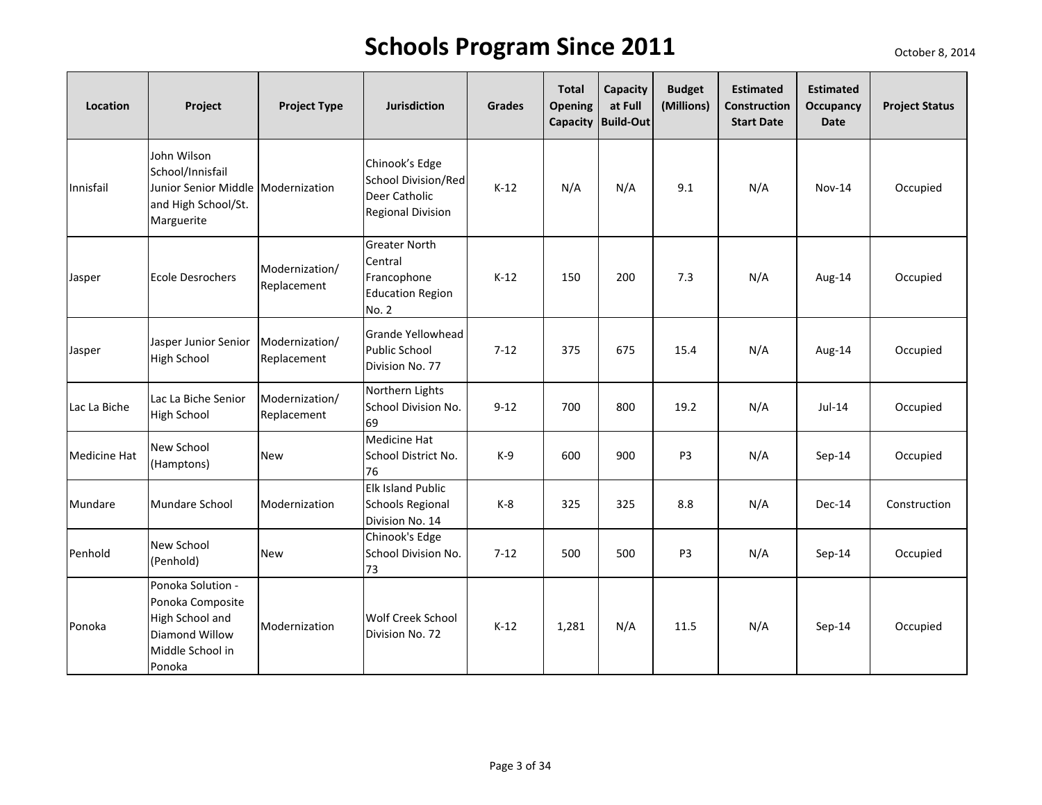| Location            | Project                                                                                                    | <b>Project Type</b>           | <b>Jurisdiction</b>                                                                | <b>Grades</b> | <b>Total</b><br><b>Opening</b> | Capacity<br>at Full<br>Capacity Build-Out | <b>Budget</b><br>(Millions) | <b>Estimated</b><br><b>Construction</b><br><b>Start Date</b> | <b>Estimated</b><br>Occupancy<br><b>Date</b> | <b>Project Status</b> |
|---------------------|------------------------------------------------------------------------------------------------------------|-------------------------------|------------------------------------------------------------------------------------|---------------|--------------------------------|-------------------------------------------|-----------------------------|--------------------------------------------------------------|----------------------------------------------|-----------------------|
| Innisfail           | John Wilson<br>School/Innisfail<br>Junior Senior Middle Modernization<br>and High School/St.<br>Marguerite |                               | Chinook's Edge<br>School Division/Red<br>Deer Catholic<br><b>Regional Division</b> | $K-12$        | N/A                            | N/A                                       | 9.1                         | N/A                                                          | Nov-14                                       | Occupied              |
| Jasper              | Ecole Desrochers                                                                                           | Modernization/<br>Replacement | <b>Greater North</b><br>Central<br>Francophone<br><b>Education Region</b><br>No. 2 | $K-12$        | 150                            | 200                                       | 7.3                         | N/A                                                          | Aug-14                                       | Occupied              |
| Jasper              | Jasper Junior Senior<br><b>High School</b>                                                                 | Modernization/<br>Replacement | <b>Grande Yellowhead</b><br><b>Public School</b><br>Division No. 77                | $7 - 12$      | 375                            | 675                                       | 15.4                        | N/A                                                          | Aug-14                                       | Occupied              |
| Lac La Biche        | Lac La Biche Senior<br><b>High School</b>                                                                  | Modernization/<br>Replacement | Northern Lights<br>School Division No.<br>69                                       | $9 - 12$      | 700                            | 800                                       | 19.2                        | N/A                                                          | Jul-14                                       | Occupied              |
| <b>Medicine Hat</b> | New School<br>(Hamptons)                                                                                   | <b>New</b>                    | <b>Medicine Hat</b><br>School District No.<br>76                                   | $K-9$         | 600                            | 900                                       | P <sub>3</sub>              | N/A                                                          | $Sep-14$                                     | Occupied              |
| Mundare             | Mundare School                                                                                             | Modernization                 | <b>Elk Island Public</b><br><b>Schools Regional</b><br>Division No. 14             | $K-8$         | 325                            | 325                                       | 8.8                         | N/A                                                          | Dec-14                                       | Construction          |
| Penhold             | New School<br>(Penhold)                                                                                    | <b>New</b>                    | Chinook's Edge<br>School Division No.<br>73                                        | $7 - 12$      | 500                            | 500                                       | P <sub>3</sub>              | N/A                                                          | $Sep-14$                                     | Occupied              |
| Ponoka              | Ponoka Solution -<br>Ponoka Composite<br>High School and<br>Diamond Willow<br>Middle School in<br>Ponoka   | Modernization                 | <b>Wolf Creek School</b><br>Division No. 72                                        | $K-12$        | 1,281                          | N/A                                       | 11.5                        | N/A                                                          | Sep-14                                       | Occupied              |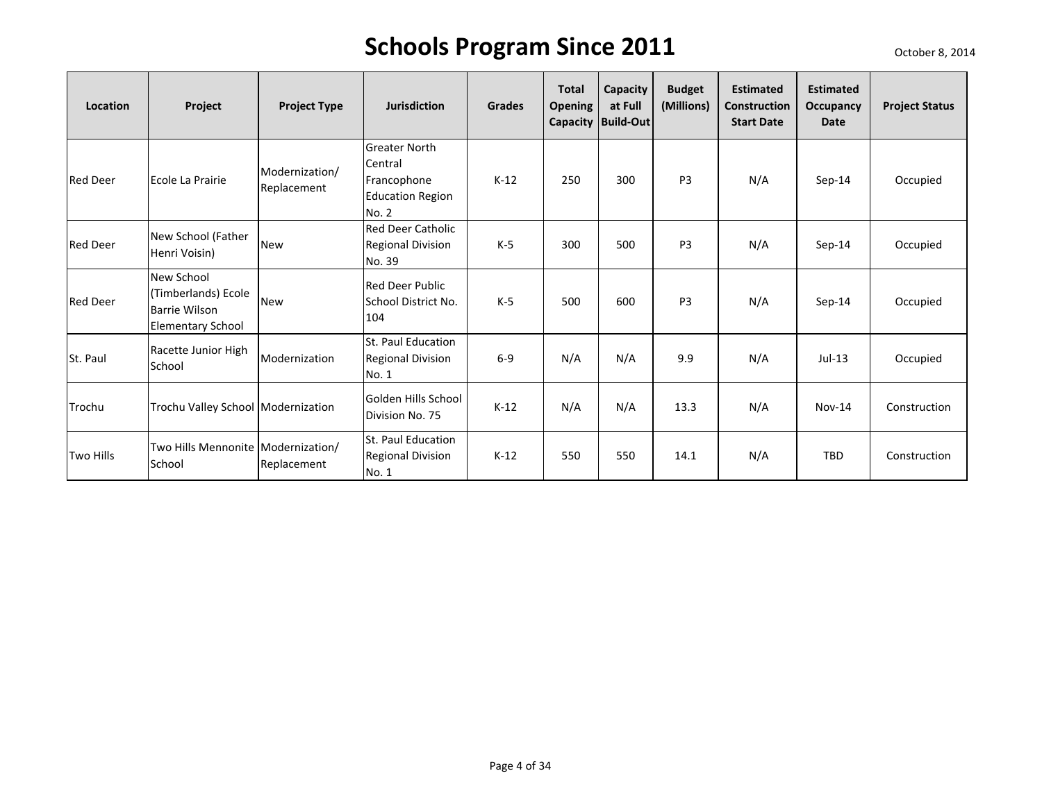| Location         | Project                                                                               | <b>Project Type</b>           | <b>Jurisdiction</b>                                                                | <b>Grades</b> | <b>Total</b><br><b>Opening</b> | <b>Capacity</b><br>at Full<br>Capacity   Build-Out | <b>Budget</b><br>(Millions) | <b>Estimated</b><br><b>Construction</b><br><b>Start Date</b> | <b>Estimated</b><br>Occupancy<br><b>Date</b> | <b>Project Status</b> |
|------------------|---------------------------------------------------------------------------------------|-------------------------------|------------------------------------------------------------------------------------|---------------|--------------------------------|----------------------------------------------------|-----------------------------|--------------------------------------------------------------|----------------------------------------------|-----------------------|
| <b>Red Deer</b>  | Ecole La Prairie                                                                      | Modernization/<br>Replacement | <b>Greater North</b><br>Central<br>Francophone<br><b>Education Region</b><br>No. 2 | $K-12$        | 250                            | 300                                                | P <sub>3</sub>              | N/A                                                          | Sep-14                                       | Occupied              |
| <b>Red Deer</b>  | New School (Father<br>Henri Voisin)                                                   | <b>New</b>                    | <b>Red Deer Catholic</b><br><b>Regional Division</b><br>No. 39                     | $K-5$         | 300                            | 500                                                | P <sub>3</sub>              | N/A                                                          | Sep-14                                       | Occupied              |
| <b>Red Deer</b>  | New School<br>(Timberlands) Ecole<br><b>Barrie Wilson</b><br><b>Elementary School</b> | <b>New</b>                    | <b>Red Deer Public</b><br>School District No.<br>104                               | $K-5$         | 500                            | 600                                                | P <sub>3</sub>              | N/A                                                          | Sep-14                                       | Occupied              |
| St. Paul         | Racette Junior High<br>School                                                         | Modernization                 | St. Paul Education<br><b>Regional Division</b><br>No. 1                            | $6-9$         | N/A                            | N/A                                                | 9.9                         | N/A                                                          | $Jul-13$                                     | Occupied              |
| Trochu           | Trochu Valley School Modernization                                                    |                               | <b>Golden Hills School</b><br>Division No. 75                                      | $K-12$        | N/A                            | N/A                                                | 13.3                        | N/A                                                          | $Nov-14$                                     | Construction          |
| <b>Two Hills</b> | Two Hills Mennonite Modernization/<br>School                                          | Replacement                   | St. Paul Education<br><b>Regional Division</b><br>No. 1                            | $K-12$        | 550                            | 550                                                | 14.1                        | N/A                                                          | <b>TBD</b>                                   | Construction          |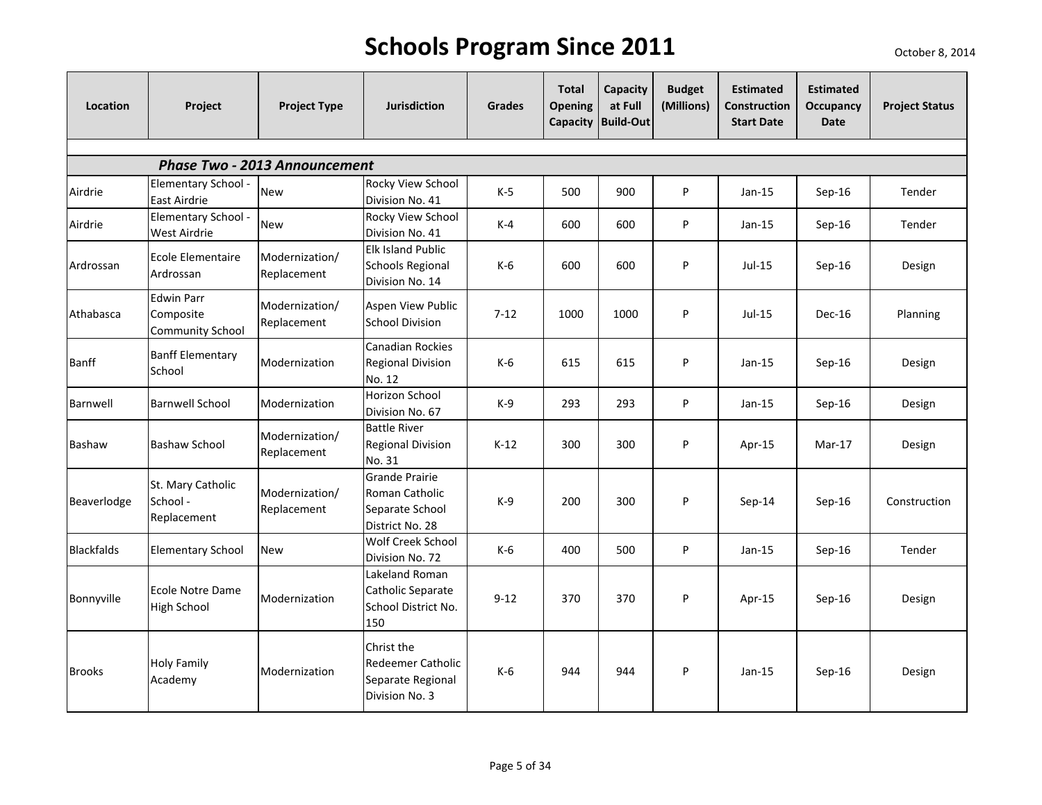| Location          | Project                                                   | <b>Project Type</b>                                | <b>Jurisdiction</b>                                                           | <b>Grades</b> | <b>Total</b><br><b>Opening</b> | Capacity<br>at Full<br>Capacity Build-Out | <b>Budget</b><br>(Millions) | <b>Estimated</b><br><b>Construction</b><br><b>Start Date</b> | <b>Estimated</b><br><b>Occupancy</b><br><b>Date</b> | <b>Project Status</b> |
|-------------------|-----------------------------------------------------------|----------------------------------------------------|-------------------------------------------------------------------------------|---------------|--------------------------------|-------------------------------------------|-----------------------------|--------------------------------------------------------------|-----------------------------------------------------|-----------------------|
|                   |                                                           |                                                    |                                                                               |               |                                |                                           |                             |                                                              |                                                     |                       |
| Airdrie           | Elementary School -                                       | <b>Phase Two - 2013 Announcement</b><br><b>New</b> | Rocky View School                                                             | $K-5$         | 500                            | 900                                       | P                           | $Jan-15$                                                     | Sep-16                                              | Tender                |
| Airdrie           | East Airdrie<br>Elementary School -<br>West Airdrie       | <b>New</b>                                         | Division No. 41<br>Rocky View School<br>Division No. 41                       | $K-4$         | 600                            | 600                                       | P                           | $Jan-15$                                                     | Sep-16                                              | Tender                |
| Ardrossan         | Ecole Elementaire<br>Ardrossan                            | Modernization/<br>Replacement                      | Elk Island Public<br><b>Schools Regional</b><br>Division No. 14               | $K-6$         | 600                            | 600                                       | P                           | $Jul-15$                                                     | $Sep-16$                                            | Design                |
| Athabasca         | <b>Edwin Parr</b><br>Composite<br><b>Community School</b> | Modernization/<br>Replacement                      | Aspen View Public<br><b>School Division</b>                                   | $7 - 12$      | 1000                           | 1000                                      | P                           | $Jul-15$                                                     | Dec-16                                              | Planning              |
| <b>Banff</b>      | <b>Banff Elementary</b><br>School                         | Modernization                                      | Canadian Rockies<br><b>Regional Division</b><br>No. 12                        | $K-6$         | 615                            | 615                                       | P                           | $Jan-15$                                                     | $Sep-16$                                            | Design                |
| Barnwell          | <b>Barnwell School</b>                                    | Modernization                                      | Horizon School<br>Division No. 67                                             | K-9           | 293                            | 293                                       | P                           | $Jan-15$                                                     | Sep-16                                              | Design                |
| Bashaw            | Bashaw School                                             | Modernization/<br>Replacement                      | <b>Battle River</b><br><b>Regional Division</b><br>No. 31                     | $K-12$        | 300                            | 300                                       | P                           | Apr-15                                                       | $Mar-17$                                            | Design                |
| Beaverlodge       | St. Mary Catholic<br>School -<br>Replacement              | Modernization/<br>Replacement                      | <b>Grande Prairie</b><br>Roman Catholic<br>Separate School<br>District No. 28 | $K-9$         | 200                            | 300                                       | P                           | Sep-14                                                       | Sep-16                                              | Construction          |
| <b>Blackfalds</b> | <b>Elementary School</b>                                  | <b>New</b>                                         | Wolf Creek School<br>Division No. 72                                          | $K-6$         | 400                            | 500                                       | P                           | $Jan-15$                                                     | Sep-16                                              | Tender                |
| Bonnyville        | <b>Ecole Notre Dame</b><br><b>High School</b>             | Modernization                                      | Lakeland Roman<br>Catholic Separate<br>School District No.<br>150             | $9 - 12$      | 370                            | 370                                       | P                           | Apr-15                                                       | $Sep-16$                                            | Design                |
| <b>Brooks</b>     | <b>Holy Family</b><br>Academy                             | Modernization                                      | Christ the<br>Redeemer Catholic<br>Separate Regional<br>Division No. 3        | K-6           | 944                            | 944                                       | P                           | $Jan-15$                                                     | Sep-16                                              | Design                |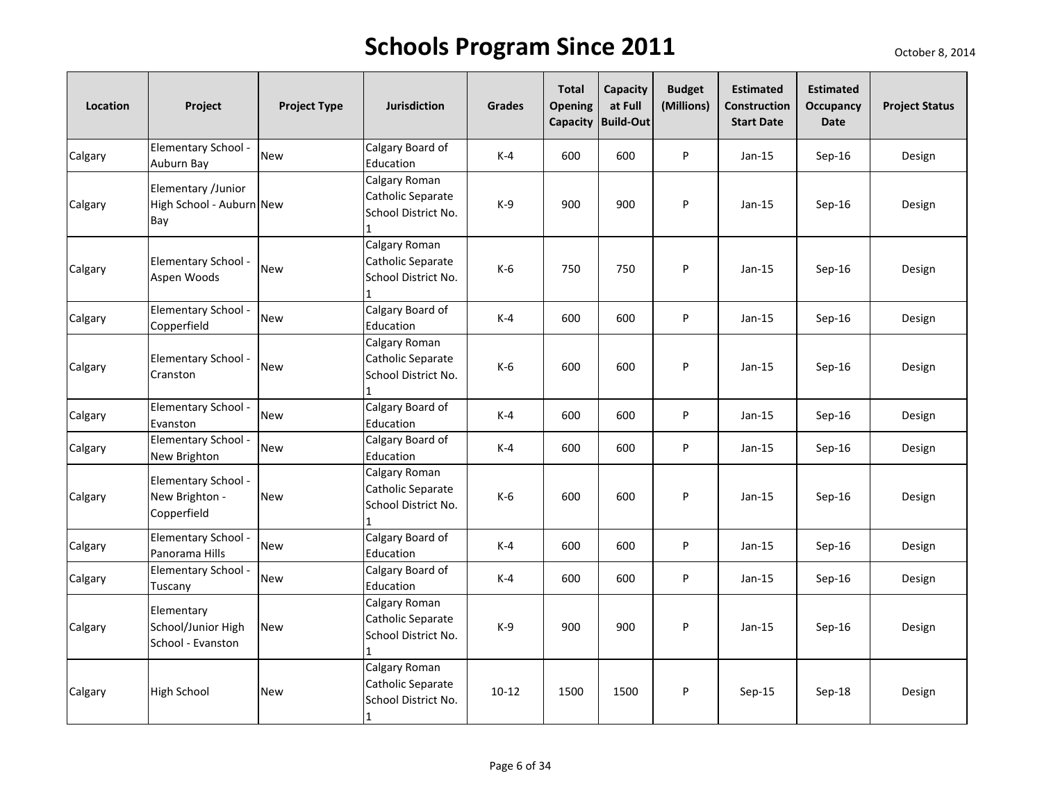| Location | Project                                               | <b>Project Type</b> | <b>Jurisdiction</b>                                       | <b>Grades</b> | <b>Total</b><br>Opening<br>Capacity | Capacity<br>at Full<br><b>Build-Out</b> | <b>Budget</b><br>(Millions) | <b>Estimated</b><br><b>Construction</b><br><b>Start Date</b> | <b>Estimated</b><br><b>Occupancy</b><br>Date | <b>Project Status</b> |
|----------|-------------------------------------------------------|---------------------|-----------------------------------------------------------|---------------|-------------------------------------|-----------------------------------------|-----------------------------|--------------------------------------------------------------|----------------------------------------------|-----------------------|
| Calgary  | Elementary School -<br>Auburn Bay                     | <b>New</b>          | Calgary Board of<br>Education                             | $K-4$         | 600                                 | 600                                     | P                           | $Jan-15$                                                     | Sep-16                                       | Design                |
| Calgary  | Elementary /Junior<br>High School - Auburn New<br>Bay |                     | Calgary Roman<br>Catholic Separate<br>School District No. | $K-9$         | 900                                 | 900                                     | P                           | $Jan-15$                                                     | Sep-16                                       | Design                |
| Calgary  | Elementary School -<br>Aspen Woods                    | <b>New</b>          | Calgary Roman<br>Catholic Separate<br>School District No. | $K-6$         | 750                                 | 750                                     | P                           | $Jan-15$                                                     | $Sep-16$                                     | Design                |
| Calgary  | Elementary School -<br>Copperfield                    | <b>New</b>          | Calgary Board of<br>Education                             | $K-4$         | 600                                 | 600                                     | P                           | $Jan-15$                                                     | Sep-16                                       | Design                |
| Calgary  | Elementary School -<br>Cranston                       | <b>New</b>          | Calgary Roman<br>Catholic Separate<br>School District No. | $K-6$         | 600                                 | 600                                     | P                           | $Jan-15$                                                     | Sep-16                                       | Design                |
| Calgary  | Elementary School -<br>Evanston                       | <b>New</b>          | Calgary Board of<br>Education                             | $K-4$         | 600                                 | 600                                     | P                           | $Jan-15$                                                     | Sep-16                                       | Design                |
| Calgary  | Elementary School -<br>New Brighton                   | <b>New</b>          | Calgary Board of<br>Education                             | $K-4$         | 600                                 | 600                                     | P                           | $Jan-15$                                                     | Sep-16                                       | Design                |
| Calgary  | Elementary School -<br>New Brighton -<br>Copperfield  | <b>New</b>          | Calgary Roman<br>Catholic Separate<br>School District No. | $K-6$         | 600                                 | 600                                     | P                           | $Jan-15$                                                     | $Sep-16$                                     | Design                |
| Calgary  | Elementary School -<br>Panorama Hills                 | <b>New</b>          | Calgary Board of<br>Education                             | $K-4$         | 600                                 | 600                                     | P                           | $Jan-15$                                                     | Sep-16                                       | Design                |
| Calgary  | Elementary School -<br>Tuscany                        | <b>New</b>          | Calgary Board of<br>Education                             | $K-4$         | 600                                 | 600                                     | P                           | $Jan-15$                                                     | Sep-16                                       | Design                |
| Calgary  | Elementary<br>School/Junior High<br>School - Evanston | <b>New</b>          | Calgary Roman<br>Catholic Separate<br>School District No. | $K-9$         | 900                                 | 900                                     | P                           | $Jan-15$                                                     | $Sep-16$                                     | Design                |
| Calgary  | <b>High School</b>                                    | <b>New</b>          | Calgary Roman<br>Catholic Separate<br>School District No. | $10 - 12$     | 1500                                | 1500                                    | P                           | Sep-15                                                       | Sep-18                                       | Design                |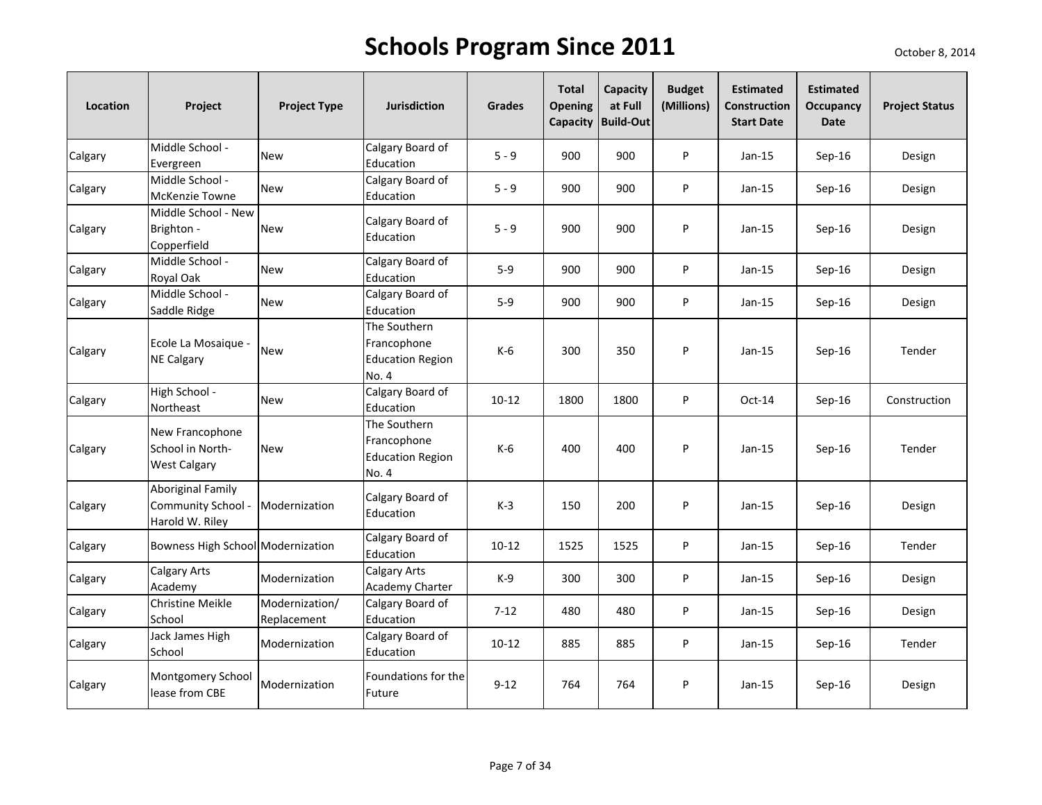| Location | Project                                                    | <b>Project Type</b>           | <b>Jurisdiction</b>                                             | <b>Grades</b> | <b>Total</b><br><b>Opening</b> | Capacity<br>at Full<br>Capacity Build-Out | <b>Budget</b><br>(Millions) | <b>Estimated</b><br><b>Construction</b><br><b>Start Date</b> | <b>Estimated</b><br>Occupancy<br><b>Date</b> | <b>Project Status</b> |
|----------|------------------------------------------------------------|-------------------------------|-----------------------------------------------------------------|---------------|--------------------------------|-------------------------------------------|-----------------------------|--------------------------------------------------------------|----------------------------------------------|-----------------------|
| Calgary  | Middle School -<br>Evergreen                               | <b>New</b>                    | Calgary Board of<br>Education                                   | $5 - 9$       | 900                            | 900                                       | P                           | $Jan-15$                                                     | Sep-16                                       | Design                |
| Calgary  | Middle School -<br><b>McKenzie Towne</b>                   | <b>New</b>                    | Calgary Board of<br>Education                                   | $5 - 9$       | 900                            | 900                                       | P                           | $Jan-15$                                                     | $Sep-16$                                     | Design                |
| Calgary  | Middle School - New<br>Brighton -<br>Copperfield           | <b>New</b>                    | Calgary Board of<br>Education                                   | $5 - 9$       | 900                            | 900                                       | P                           | Jan-15                                                       | $Sep-16$                                     | Design                |
| Calgary  | Middle School -<br>Royal Oak                               | <b>New</b>                    | Calgary Board of<br>Education                                   | $5-9$         | 900                            | 900                                       | P                           | Jan-15                                                       | Sep-16                                       | Design                |
| Calgary  | Middle School -<br>Saddle Ridge                            | <b>New</b>                    | Calgary Board of<br>Education                                   | $5-9$         | 900                            | 900                                       | P                           | $Jan-15$                                                     | $Sep-16$                                     | Design                |
| Calgary  | Ecole La Mosaique -<br><b>NE Calgary</b>                   | <b>New</b>                    | The Southern<br>Francophone<br><b>Education Region</b><br>No. 4 | K-6           | 300                            | 350                                       | P                           | $Jan-15$                                                     | $Sep-16$                                     | Tender                |
| Calgary  | High School -<br>Northeast                                 | <b>New</b>                    | Calgary Board of<br>Education                                   | $10 - 12$     | 1800                           | 1800                                      | P                           | $Oct-14$                                                     | Sep-16                                       | Construction          |
| Calgary  | New Francophone<br>School in North-<br><b>West Calgary</b> | <b>New</b>                    | The Southern<br>Francophone<br><b>Education Region</b><br>No. 4 | $K-6$         | 400                            | 400                                       | P                           | $Jan-15$                                                     | Sep-16                                       | Tender                |
| Calgary  | Aboriginal Family<br>Community School -<br>Harold W. Riley | Modernization                 | Calgary Board of<br>Education                                   | $K-3$         | 150                            | 200                                       | P                           | Jan-15                                                       | $Sep-16$                                     | Design                |
| Calgary  | Bowness High School Modernization                          |                               | Calgary Board of<br>Education                                   | $10 - 12$     | 1525                           | 1525                                      | P                           | $Jan-15$                                                     | $Sep-16$                                     | Tender                |
| Calgary  | Calgary Arts<br>Academy                                    | Modernization                 | <b>Calgary Arts</b><br>Academy Charter                          | K-9           | 300                            | 300                                       | P                           | $Jan-15$                                                     | $Sep-16$                                     | Design                |
| Calgary  | <b>Christine Meikle</b><br>School                          | Modernization/<br>Replacement | Calgary Board of<br>Education                                   | $7 - 12$      | 480                            | 480                                       | P                           | Jan-15                                                       | Sep-16                                       | Design                |
| Calgary  | Jack James High<br>School                                  | Modernization                 | Calgary Board of<br>Education                                   | $10 - 12$     | 885                            | 885                                       | P                           | $Jan-15$                                                     | Sep-16                                       | Tender                |
| Calgary  | Montgomery School<br>lease from CBE                        | Modernization                 | Foundations for the<br>Future                                   | $9 - 12$      | 764                            | 764                                       | P                           | Jan-15                                                       | Sep-16                                       | Design                |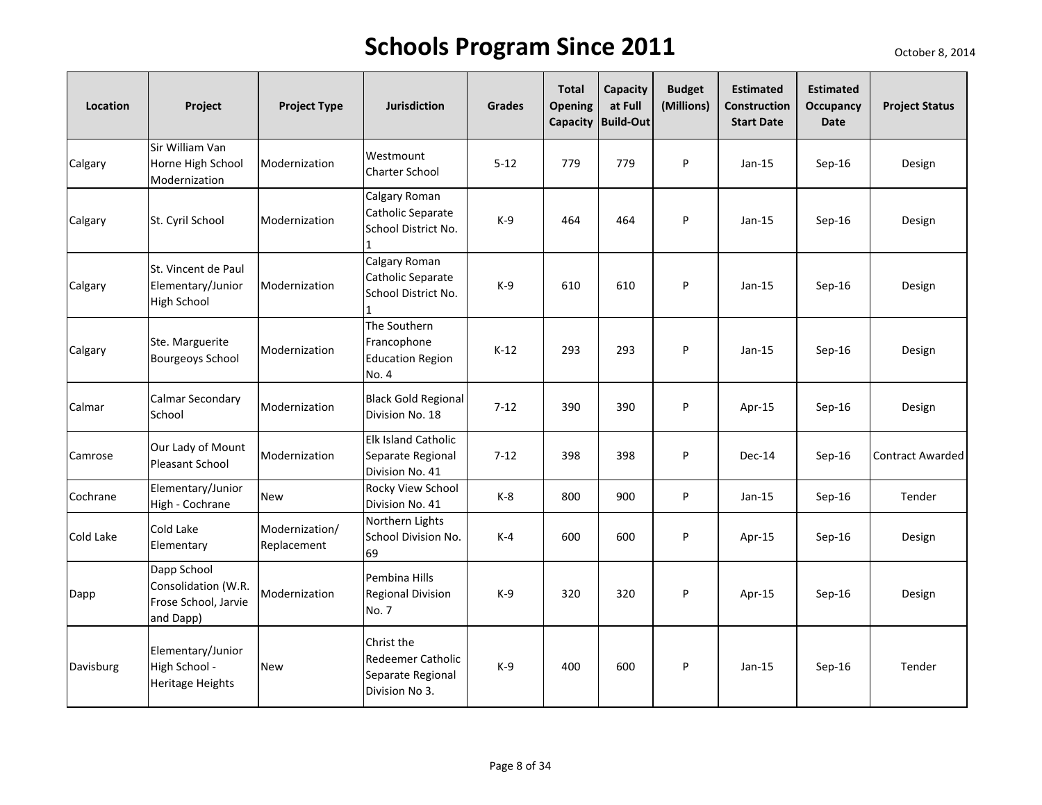| Location  | Project                                                                 | <b>Project Type</b>           | <b>Jurisdiction</b>                                                    | <b>Grades</b> | <b>Total</b><br>Opening | Capacity<br>at Full<br>Capacity Build-Out | <b>Budget</b><br>(Millions) | <b>Estimated</b><br>Construction<br><b>Start Date</b> | <b>Estimated</b><br>Occupancy<br><b>Date</b> | <b>Project Status</b> |
|-----------|-------------------------------------------------------------------------|-------------------------------|------------------------------------------------------------------------|---------------|-------------------------|-------------------------------------------|-----------------------------|-------------------------------------------------------|----------------------------------------------|-----------------------|
| Calgary   | Sir William Van<br>Horne High School<br>Modernization                   | Modernization                 | Westmount<br><b>Charter School</b>                                     | $5 - 12$      | 779                     | 779                                       | P                           | $Jan-15$                                              | Sep-16                                       | Design                |
| Calgary   | St. Cyril School                                                        | Modernization                 | Calgary Roman<br>Catholic Separate<br>School District No.              | $K-9$         | 464                     | 464                                       | P                           | $Jan-15$                                              | $Sep-16$                                     | Design                |
| Calgary   | St. Vincent de Paul<br>Elementary/Junior<br><b>High School</b>          | Modernization                 | Calgary Roman<br>Catholic Separate<br>School District No.              | $K-9$         | 610                     | 610                                       | P                           | $Jan-15$                                              | $Sep-16$                                     | Design                |
| Calgary   | Ste. Marguerite<br><b>Bourgeoys School</b>                              | Modernization                 | The Southern<br>Francophone<br><b>Education Region</b><br>No. 4        | $K-12$        | 293                     | 293                                       | P                           | $Jan-15$                                              | Sep-16                                       | Design                |
| Calmar    | Calmar Secondary<br>School                                              | Modernization                 | <b>Black Gold Regional</b><br>Division No. 18                          | $7 - 12$      | 390                     | 390                                       | P                           | Apr-15                                                | Sep-16                                       | Design                |
| Camrose   | Our Lady of Mount<br>Pleasant School                                    | Modernization                 | Elk Island Catholic<br>Separate Regional<br>Division No. 41            | $7 - 12$      | 398                     | 398                                       | P                           | Dec-14                                                | $Sep-16$                                     | Contract Awarded      |
| Cochrane  | Elementary/Junior<br>High - Cochrane                                    | <b>New</b>                    | Rocky View School<br>Division No. 41                                   | $K-8$         | 800                     | 900                                       | P                           | $Jan-15$                                              | $Sep-16$                                     | Tender                |
| Cold Lake | Cold Lake<br>Elementary                                                 | Modernization/<br>Replacement | Northern Lights<br>School Division No.<br>69                           | $K-4$         | 600                     | 600                                       | P                           | Apr-15                                                | $Sep-16$                                     | Design                |
| Dapp      | Dapp School<br>Consolidation (W.R.<br>Frose School, Jarvie<br>and Dapp) | Modernization                 | Pembina Hills<br><b>Regional Division</b><br>No. 7                     | $K-9$         | 320                     | 320                                       | P                           | Apr-15                                                | $Sep-16$                                     | Design                |
| Davisburg | Elementary/Junior<br>High School -<br><b>Heritage Heights</b>           | <b>New</b>                    | Christ the<br>Redeemer Catholic<br>Separate Regional<br>Division No 3. | $K-9$         | 400                     | 600                                       | P                           | $Jan-15$                                              | Sep-16                                       | Tender                |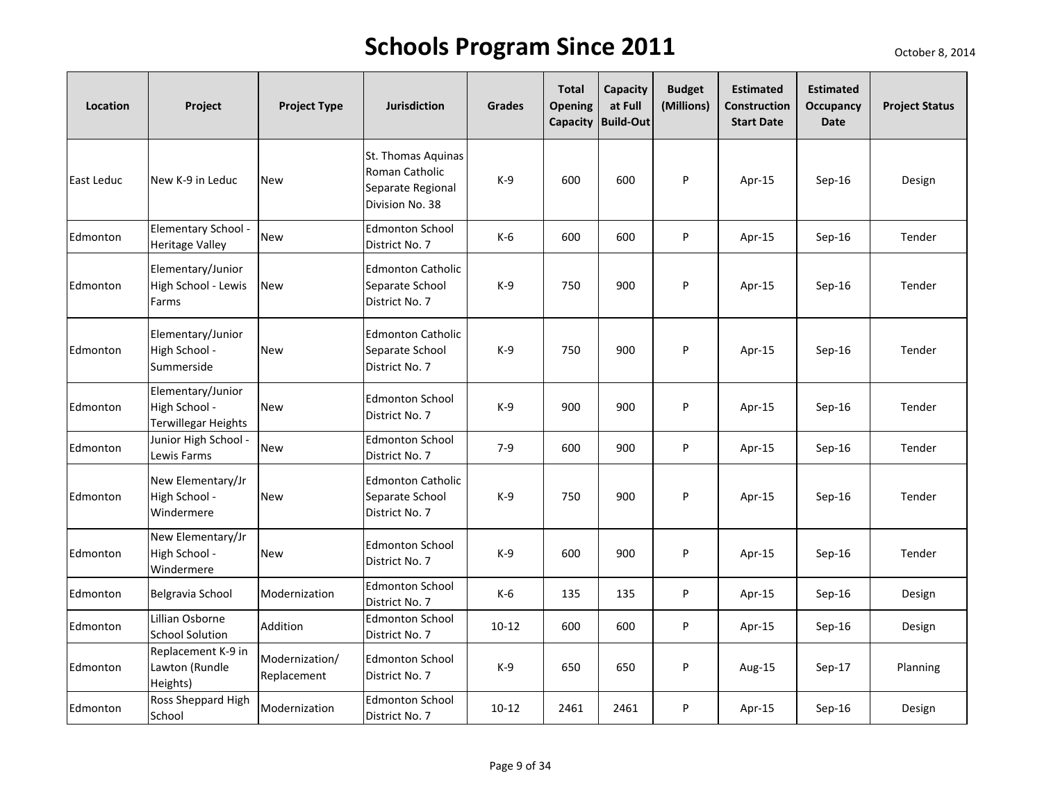| Location   | Project                                                          | <b>Project Type</b>           | <b>Jurisdiction</b>                                                          | <b>Grades</b> | <b>Total</b><br><b>Opening</b> | Capacity<br>at Full<br>Capacity Build-Out | <b>Budget</b><br>(Millions) | <b>Estimated</b><br>Construction<br><b>Start Date</b> | <b>Estimated</b><br>Occupancy<br><b>Date</b> | <b>Project Status</b> |
|------------|------------------------------------------------------------------|-------------------------------|------------------------------------------------------------------------------|---------------|--------------------------------|-------------------------------------------|-----------------------------|-------------------------------------------------------|----------------------------------------------|-----------------------|
| East Leduc | New K-9 in Leduc                                                 | <b>New</b>                    | St. Thomas Aquinas<br>Roman Catholic<br>Separate Regional<br>Division No. 38 | $K-9$         | 600                            | 600                                       | P                           | Apr-15                                                | Sep-16                                       | Design                |
| Edmonton   | Elementary School -<br><b>Heritage Valley</b>                    | <b>New</b>                    | <b>Edmonton School</b><br>District No. 7                                     | $K-6$         | 600                            | 600                                       | P                           | Apr-15                                                | $Sep-16$                                     | Tender                |
| Edmonton   | Elementary/Junior<br>High School - Lewis<br>Farms                | <b>New</b>                    | <b>Edmonton Catholic</b><br>Separate School<br>District No. 7                | $K-9$         | 750                            | 900                                       | P                           | Apr-15                                                | Sep-16                                       | Tender                |
| Edmonton   | Elementary/Junior<br>High School -<br>Summerside                 | <b>New</b>                    | <b>Edmonton Catholic</b><br>Separate School<br>District No. 7                | $K-9$         | 750                            | 900                                       | P                           | Apr-15                                                | Sep-16                                       | Tender                |
| Edmonton   | Elementary/Junior<br>High School -<br><b>Terwillegar Heights</b> | <b>New</b>                    | <b>Edmonton School</b><br>District No. 7                                     | $K-9$         | 900                            | 900                                       | P                           | Apr-15                                                | Sep-16                                       | Tender                |
| Edmonton   | Junior High School -<br>Lewis Farms                              | <b>New</b>                    | <b>Edmonton School</b><br>District No. 7                                     | $7 - 9$       | 600                            | 900                                       | P                           | Apr-15                                                | $Sep-16$                                     | Tender                |
| Edmonton   | New Elementary/Jr<br>High School -<br>Windermere                 | <b>New</b>                    | <b>Edmonton Catholic</b><br>Separate School<br>District No. 7                | $K-9$         | 750                            | 900                                       | P                           | Apr-15                                                | Sep-16                                       | Tender                |
| Edmonton   | New Elementary/Jr<br>High School -<br>Windermere                 | <b>New</b>                    | <b>Edmonton School</b><br>District No. 7                                     | $K-9$         | 600                            | 900                                       | P                           | Apr-15                                                | $Sep-16$                                     | Tender                |
| Edmonton   | Belgravia School                                                 | Modernization                 | <b>Edmonton School</b><br>District No. 7                                     | K-6           | 135                            | 135                                       | P                           | Apr-15                                                | Sep-16                                       | Design                |
| Edmonton   | Lillian Osborne<br><b>School Solution</b>                        | Addition                      | <b>Edmonton School</b><br>District No. 7                                     | $10 - 12$     | 600                            | 600                                       | P                           | Apr-15                                                | $Sep-16$                                     | Design                |
| Edmonton   | Replacement K-9 in<br>Lawton (Rundle<br>Heights)                 | Modernization/<br>Replacement | <b>Edmonton School</b><br>District No. 7                                     | $K-9$         | 650                            | 650                                       | P                           | Aug-15                                                | Sep-17                                       | Planning              |
| Edmonton   | Ross Sheppard High<br>School                                     | Modernization                 | <b>Edmonton School</b><br>District No. 7                                     | $10 - 12$     | 2461                           | 2461                                      | P                           | Apr-15                                                | $Sep-16$                                     | Design                |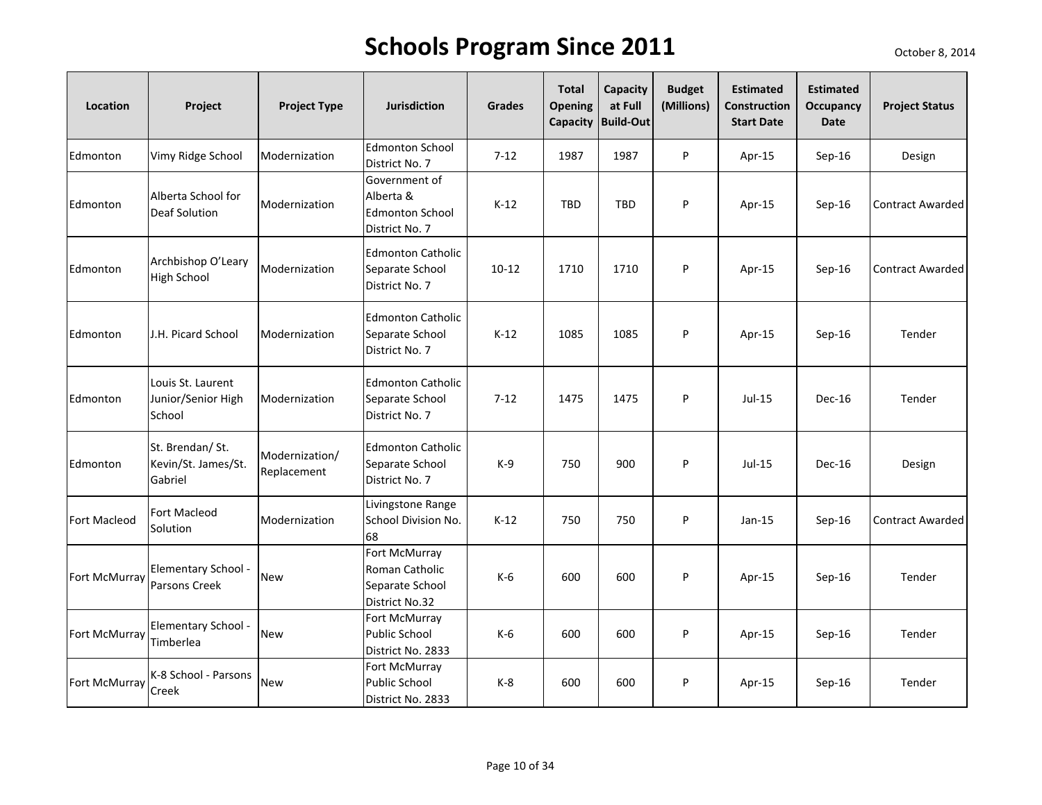| Location            | Project                                            | <b>Project Type</b>           | <b>Jurisdiction</b>                                                    | <b>Grades</b> | <b>Total</b><br><b>Opening</b><br>Capacity | Capacity<br>at Full<br><b>Build-Out</b> | <b>Budget</b><br>(Millions) | <b>Estimated</b><br><b>Construction</b><br><b>Start Date</b> | <b>Estimated</b><br>Occupancy<br><b>Date</b> | <b>Project Status</b>   |
|---------------------|----------------------------------------------------|-------------------------------|------------------------------------------------------------------------|---------------|--------------------------------------------|-----------------------------------------|-----------------------------|--------------------------------------------------------------|----------------------------------------------|-------------------------|
| Edmonton            | Vimy Ridge School                                  | Modernization                 | <b>Edmonton School</b><br>District No. 7                               | $7 - 12$      | 1987                                       | 1987                                    | P                           | Apr-15                                                       | $Sep-16$                                     | Design                  |
| Edmonton            | Alberta School for<br><b>Deaf Solution</b>         | Modernization                 | Government of<br>Alberta &<br><b>Edmonton School</b><br>District No. 7 | $K-12$        | <b>TBD</b>                                 | <b>TBD</b>                              | P                           | Apr-15                                                       | Sep-16                                       | <b>Contract Awarded</b> |
| Edmonton            | Archbishop O'Leary<br><b>High School</b>           | Modernization                 | <b>Edmonton Catholic</b><br>Separate School<br>District No. 7          | $10 - 12$     | 1710                                       | 1710                                    | P                           | Apr-15                                                       | Sep-16                                       | Contract Awarded        |
| Edmonton            | J.H. Picard School                                 | Modernization                 | <b>Edmonton Catholic</b><br>Separate School<br>District No. 7          | $K-12$        | 1085                                       | 1085                                    | P                           | Apr-15                                                       | Sep-16                                       | Tender                  |
| Edmonton            | Louis St. Laurent<br>Junior/Senior High<br>School  | Modernization                 | <b>Edmonton Catholic</b><br>Separate School<br>District No. 7          | $7 - 12$      | 1475                                       | 1475                                    | P                           | Jul-15                                                       | Dec-16                                       | Tender                  |
| Edmonton            | St. Brendan/ St.<br>Kevin/St. James/St.<br>Gabriel | Modernization/<br>Replacement | <b>Edmonton Catholic</b><br>Separate School<br>District No. 7          | $K-9$         | 750                                        | 900                                     | P                           | Jul-15                                                       | <b>Dec-16</b>                                | Design                  |
| <b>Fort Macleod</b> | Fort Macleod<br>Solution                           | Modernization                 | Livingstone Range<br>School Division No.<br>68                         | $K-12$        | 750                                        | 750                                     | P                           | $Jan-15$                                                     | Sep-16                                       | <b>Contract Awarded</b> |
| Fort McMurray       | Elementary School -<br>Parsons Creek               | <b>New</b>                    | Fort McMurray<br>Roman Catholic<br>Separate School<br>District No.32   | K-6           | 600                                        | 600                                     | P                           | Apr-15                                                       | $Sep-16$                                     | Tender                  |
| Fort McMurray       | Elementary School -<br>Timberlea                   | New                           | Fort McMurray<br>Public School<br>District No. 2833                    | K-6           | 600                                        | 600                                     | P                           | Apr-15                                                       | Sep-16                                       | Tender                  |
| Fort McMurray       | K-8 School - Parsons<br>Creek                      | New                           | Fort McMurray<br>Public School<br>District No. 2833                    | $K-8$         | 600                                        | 600                                     | P                           | Apr-15                                                       | Sep-16                                       | Tender                  |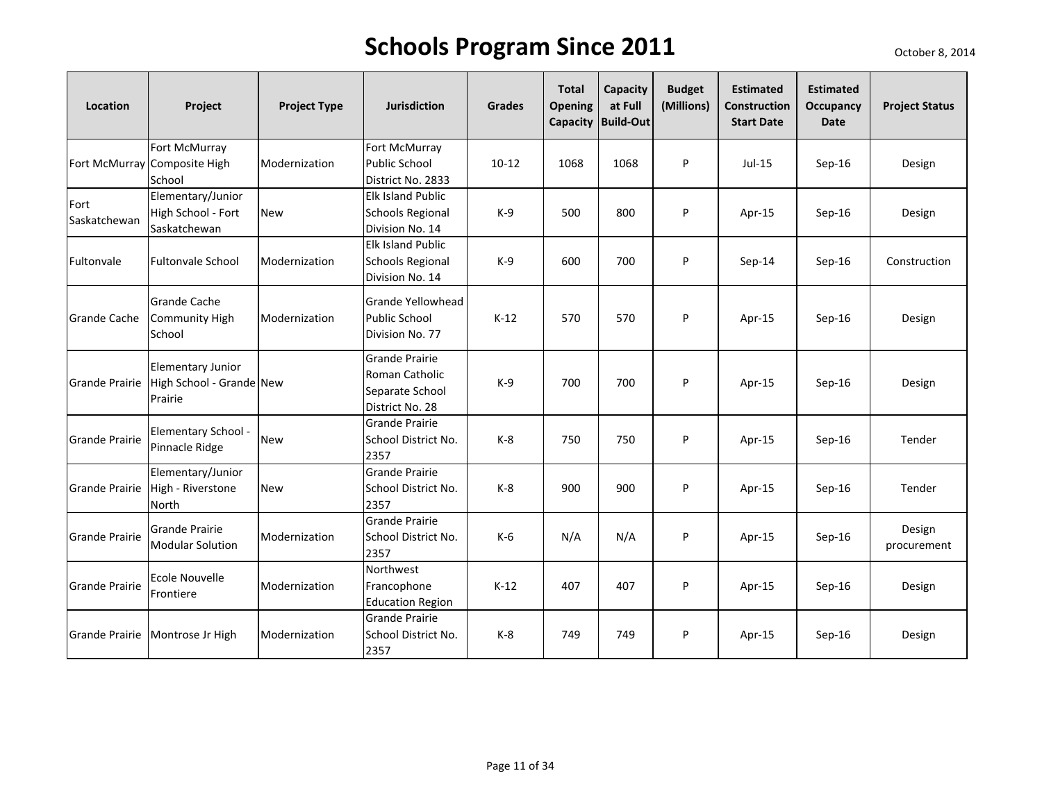| Location              | Project                                                         | <b>Project Type</b> | <b>Jurisdiction</b>                                                           | <b>Grades</b> | <b>Total</b><br><b>Opening</b> | Capacity<br>at Full<br>Capacity Build-Out | <b>Budget</b><br>(Millions) | <b>Estimated</b><br>Construction<br><b>Start Date</b> | <b>Estimated</b><br>Occupancy<br><b>Date</b> | <b>Project Status</b> |
|-----------------------|-----------------------------------------------------------------|---------------------|-------------------------------------------------------------------------------|---------------|--------------------------------|-------------------------------------------|-----------------------------|-------------------------------------------------------|----------------------------------------------|-----------------------|
|                       | Fort McMurray<br>Fort McMurray Composite High<br>School         | Modernization       | Fort McMurray<br><b>Public School</b><br>District No. 2833                    | $10-12$       | 1068                           | 1068                                      | P                           | $Jul-15$                                              | Sep-16                                       | Design                |
| Fort<br>Saskatchewan  | Elementary/Junior<br>High School - Fort<br>Saskatchewan         | <b>New</b>          | <b>Elk Island Public</b><br><b>Schools Regional</b><br>Division No. 14        | $K-9$         | 500                            | 800                                       | P                           | Apr-15                                                | $Sep-16$                                     | Design                |
| Fultonvale            | <b>Fultonvale School</b>                                        | Modernization       | <b>Elk Island Public</b><br><b>Schools Regional</b><br>Division No. 14        | $K-9$         | 600                            | 700                                       | P                           | Sep-14                                                | Sep-16                                       | Construction          |
| <b>Grande Cache</b>   | <b>Grande Cache</b><br><b>Community High</b><br>School          | Modernization       | Grande Yellowhead<br><b>Public School</b><br>Division No. 77                  | $K-12$        | 570                            | 570                                       | P                           | Apr-15                                                | $Sep-16$                                     | Design                |
| <b>Grande Prairie</b> | <b>Elementary Junior</b><br>High School - Grande New<br>Prairie |                     | <b>Grande Prairie</b><br>Roman Catholic<br>Separate School<br>District No. 28 | $K-9$         | 700                            | 700                                       | P                           | Apr-15                                                | Sep-16                                       | Design                |
| <b>Grande Prairie</b> | Elementary School -<br>Pinnacle Ridge                           | <b>New</b>          | Grande Prairie<br>School District No.<br>2357                                 | $K-8$         | 750                            | 750                                       | P                           | Apr-15                                                | $Sep-16$                                     | Tender                |
| Grande Prairie        | Elementary/Junior<br>High - Riverstone<br><b>North</b>          | <b>New</b>          | <b>Grande Prairie</b><br>School District No.<br>2357                          | $K-8$         | 900                            | 900                                       | P                           | Apr-15                                                | $Sep-16$                                     | Tender                |
| <b>Grande Prairie</b> | <b>Grande Prairie</b><br><b>Modular Solution</b>                | Modernization       | <b>Grande Prairie</b><br>School District No.<br>2357                          | K-6           | N/A                            | N/A                                       | P                           | Apr-15                                                | $Sep-16$                                     | Design<br>procurement |
| <b>Grande Prairie</b> | Ecole Nouvelle<br>Frontiere                                     | Modernization       | Northwest<br>Francophone<br><b>Education Region</b>                           | $K-12$        | 407                            | 407                                       | P                           | Apr-15                                                | $Sep-16$                                     | Design                |
| <b>Grande Prairie</b> | Montrose Jr High                                                | Modernization       | <b>Grande Prairie</b><br>School District No.<br>2357                          | $K-8$         | 749                            | 749                                       | P                           | Apr-15                                                | $Sep-16$                                     | Design                |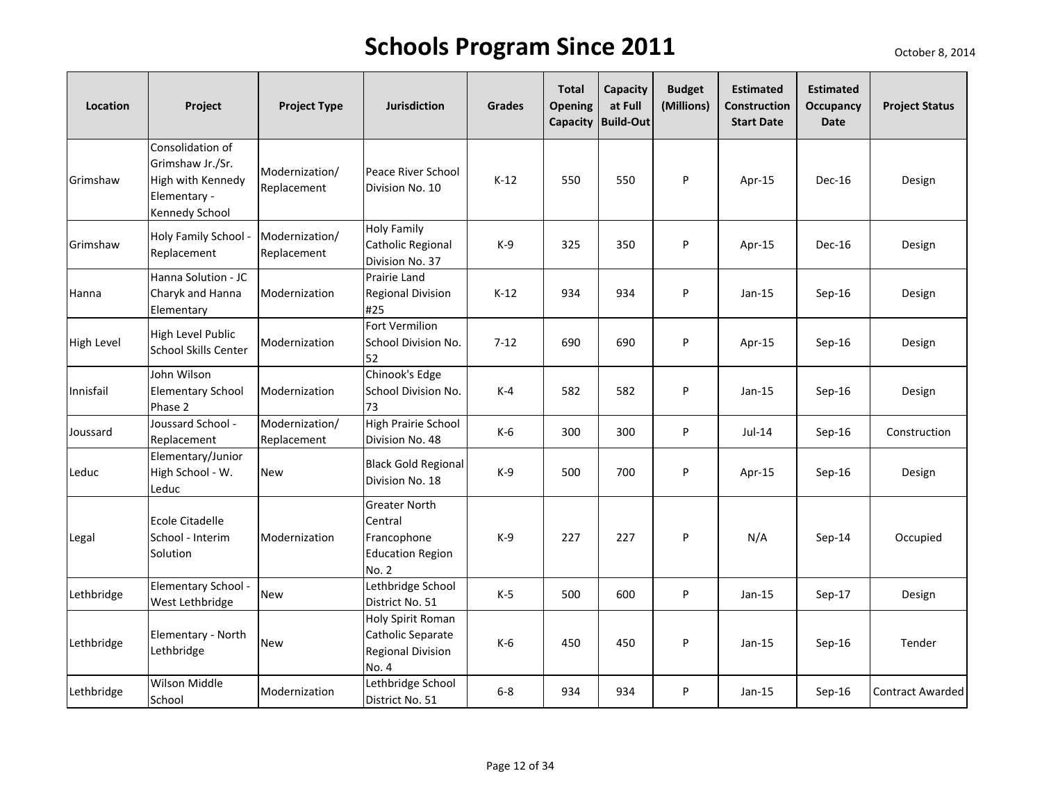| Location   | Project                                                                                     | <b>Project Type</b>           | <b>Jurisdiction</b>                                                         | <b>Grades</b> | <b>Total</b><br><b>Opening</b><br>Capacity | Capacity<br>at Full<br><b>Build-Out</b> | <b>Budget</b><br>(Millions) | <b>Estimated</b><br><b>Construction</b><br><b>Start Date</b> | <b>Estimated</b><br>Occupancy<br>Date | <b>Project Status</b> |
|------------|---------------------------------------------------------------------------------------------|-------------------------------|-----------------------------------------------------------------------------|---------------|--------------------------------------------|-----------------------------------------|-----------------------------|--------------------------------------------------------------|---------------------------------------|-----------------------|
| Grimshaw   | Consolidation of<br>Grimshaw Jr./Sr.<br>High with Kennedy<br>Elementary -<br>Kennedy School | Modernization/<br>Replacement | Peace River School<br>Division No. 10                                       | $K-12$        | 550                                        | 550                                     | P                           | Apr-15                                                       | <b>Dec-16</b>                         | Design                |
| Grimshaw   | Holy Family School -<br>Replacement                                                         | Modernization/<br>Replacement | <b>Holy Family</b><br>Catholic Regional<br>Division No. 37                  | $K-9$         | 325                                        | 350                                     | P                           | Apr-15                                                       | Dec-16                                | Design                |
| Hanna      | Hanna Solution - JC<br>Charyk and Hanna<br>Elementary                                       | Modernization                 | Prairie Land<br><b>Regional Division</b><br>#25                             | $K-12$        | 934                                        | 934                                     | P                           | $Jan-15$                                                     | Sep-16                                | Design                |
| High Level | <b>High Level Public</b><br>School Skills Center                                            | Modernization                 | Fort Vermilion<br><b>School Division No.</b><br>52                          | $7 - 12$      | 690                                        | 690                                     | P                           | Apr-15                                                       | $Sep-16$                              | Design                |
| Innisfail  | John Wilson<br><b>Elementary School</b><br>Phase 2                                          | Modernization                 | Chinook's Edge<br><b>School Division No.</b><br>73                          | $K-4$         | 582                                        | 582                                     | P                           | $Jan-15$                                                     | $Sep-16$                              | Design                |
| Joussard   | Joussard School -<br>Replacement                                                            | Modernization/<br>Replacement | High Prairie School<br>Division No. 48                                      | K-6           | 300                                        | 300                                     | P                           | Jul-14                                                       | Sep-16                                | Construction          |
| Leduc      | Elementary/Junior<br>High School - W.<br>Leduc                                              | <b>New</b>                    | <b>Black Gold Regional</b><br>Division No. 18                               | $K-9$         | 500                                        | 700                                     | P                           | Apr-15                                                       | Sep-16                                | Design                |
| Legal      | <b>Ecole Citadelle</b><br>School - Interim<br>Solution                                      | Modernization                 | Greater North<br>Central<br>Francophone<br><b>Education Region</b><br>No. 2 | $K-9$         | 227                                        | 227                                     | P                           | N/A                                                          | Sep-14                                | Occupied              |
| Lethbridge | Elementary School -<br>West Lethbridge                                                      | <b>New</b>                    | Lethbridge School<br>District No. 51                                        | $K-5$         | 500                                        | 600                                     | P                           | $Jan-15$                                                     | Sep-17                                | Design                |
| Lethbridge | Elementary - North<br>Lethbridge                                                            | <b>New</b>                    | Holy Spirit Roman<br>Catholic Separate<br><b>Regional Division</b><br>No. 4 | $K-6$         | 450                                        | 450                                     | P                           | $Jan-15$                                                     | Sep-16                                | Tender                |
| Lethbridge | Wilson Middle<br>School                                                                     | Modernization                 | Lethbridge School<br>District No. 51                                        | $6 - 8$       | 934                                        | 934                                     | P                           | $Jan-15$                                                     | Sep-16                                | Contract Awarded      |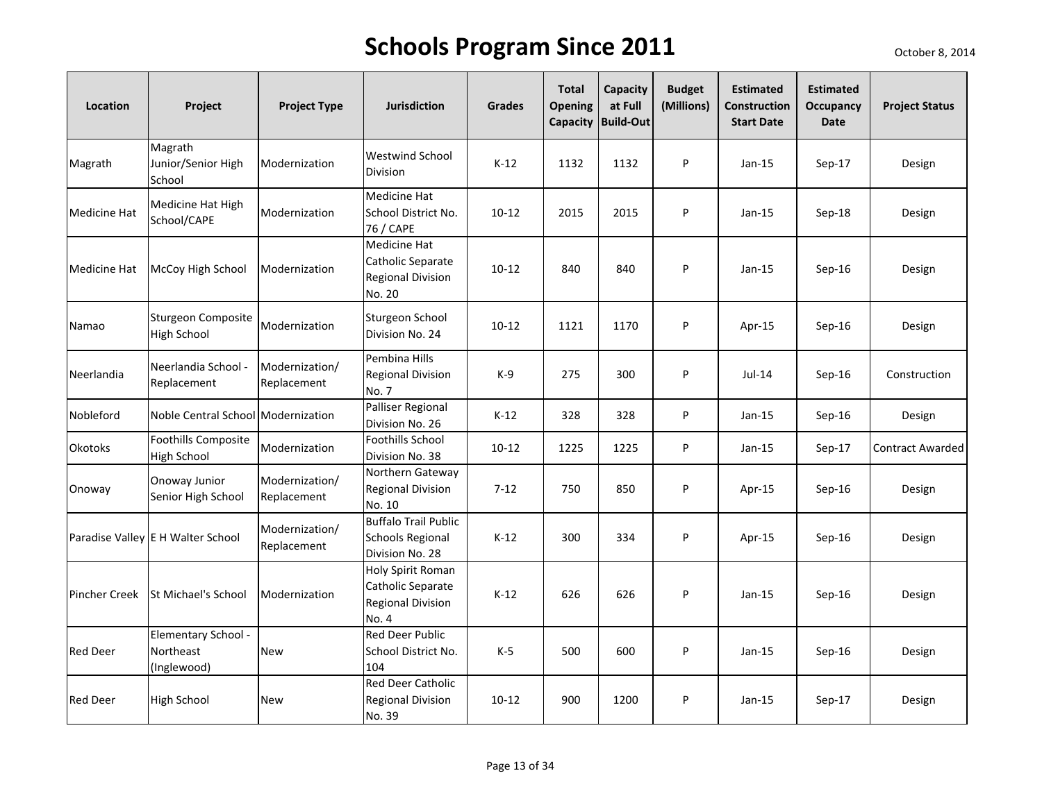| Location             | Project                                          | <b>Project Type</b>           | <b>Jurisdiction</b>                                                         | <b>Grades</b> | <b>Total</b><br><b>Opening</b> | Capacity<br>at Full<br>Capacity Build-Out | <b>Budget</b><br>(Millions) | <b>Estimated</b><br><b>Construction</b><br><b>Start Date</b> | <b>Estimated</b><br><b>Occupancy</b><br><b>Date</b> | <b>Project Status</b> |
|----------------------|--------------------------------------------------|-------------------------------|-----------------------------------------------------------------------------|---------------|--------------------------------|-------------------------------------------|-----------------------------|--------------------------------------------------------------|-----------------------------------------------------|-----------------------|
| Magrath              | Magrath<br>Junior/Senior High<br>School          | Modernization                 | <b>Westwind School</b><br>Division                                          | $K-12$        | 1132                           | 1132                                      | P                           | $Jan-15$                                                     | $Sep-17$                                            | Design                |
| <b>Medicine Hat</b>  | Medicine Hat High<br>School/CAPE                 | Modernization                 | Medicine Hat<br>School District No.<br>76 / CAPE                            | $10 - 12$     | 2015                           | 2015                                      | P                           | $Jan-15$                                                     | $Sep-18$                                            | Design                |
| <b>Medicine Hat</b>  | McCoy High School                                | Modernization                 | Medicine Hat<br>Catholic Separate<br><b>Regional Division</b><br>No. 20     | $10 - 12$     | 840                            | 840                                       | P                           | $Jan-15$                                                     | $Sep-16$                                            | Design                |
| Namao                | Sturgeon Composite<br><b>High School</b>         | Modernization                 | Sturgeon School<br>Division No. 24                                          | $10 - 12$     | 1121                           | 1170                                      | P                           | Apr-15                                                       | $Sep-16$                                            | Design                |
| Neerlandia           | Neerlandia School -<br>Replacement               | Modernization/<br>Replacement | Pembina Hills<br><b>Regional Division</b><br>No. 7                          | $K-9$         | 275                            | 300                                       | P                           | $Jul-14$                                                     | $Sep-16$                                            | Construction          |
| Nobleford            | Noble Central School Modernization               |                               | Palliser Regional<br>Division No. 26                                        | $K-12$        | 328                            | 328                                       | P                           | $Jan-15$                                                     | Sep-16                                              | Design                |
| <b>Okotoks</b>       | <b>Foothills Composite</b><br><b>High School</b> | Modernization                 | Foothills School<br>Division No. 38                                         | $10 - 12$     | 1225                           | 1225                                      | P                           | $Jan-15$                                                     | Sep-17                                              | Contract Awarded      |
| Onoway               | Onoway Junior<br>Senior High School              | Modernization/<br>Replacement | Northern Gateway<br><b>Regional Division</b><br>No. 10                      | $7 - 12$      | 750                            | 850                                       | P                           | Apr-15                                                       | $Sep-16$                                            | Design                |
|                      | Paradise Valley E H Walter School                | Modernization/<br>Replacement | <b>Buffalo Trail Public</b><br><b>Schools Regional</b><br>Division No. 28   | $K-12$        | 300                            | 334                                       | P                           | Apr-15                                                       | $Sep-16$                                            | Design                |
| <b>Pincher Creek</b> | <b>St Michael's School</b>                       | Modernization                 | Holy Spirit Roman<br>Catholic Separate<br><b>Regional Division</b><br>No. 4 | $K-12$        | 626                            | 626                                       | P                           | $Jan-15$                                                     | $Sep-16$                                            | Design                |
| <b>Red Deer</b>      | Elementary School -<br>Northeast<br>(Inglewood)  | <b>New</b>                    | <b>Red Deer Public</b><br>School District No.<br>104                        | $K-5$         | 500                            | 600                                       | P                           | $Jan-15$                                                     | $Sep-16$                                            | Design                |
| <b>Red Deer</b>      | <b>High School</b>                               | <b>New</b>                    | Red Deer Catholic<br><b>Regional Division</b><br>No. 39                     | $10 - 12$     | 900                            | 1200                                      | P                           | $Jan-15$                                                     | Sep-17                                              | Design                |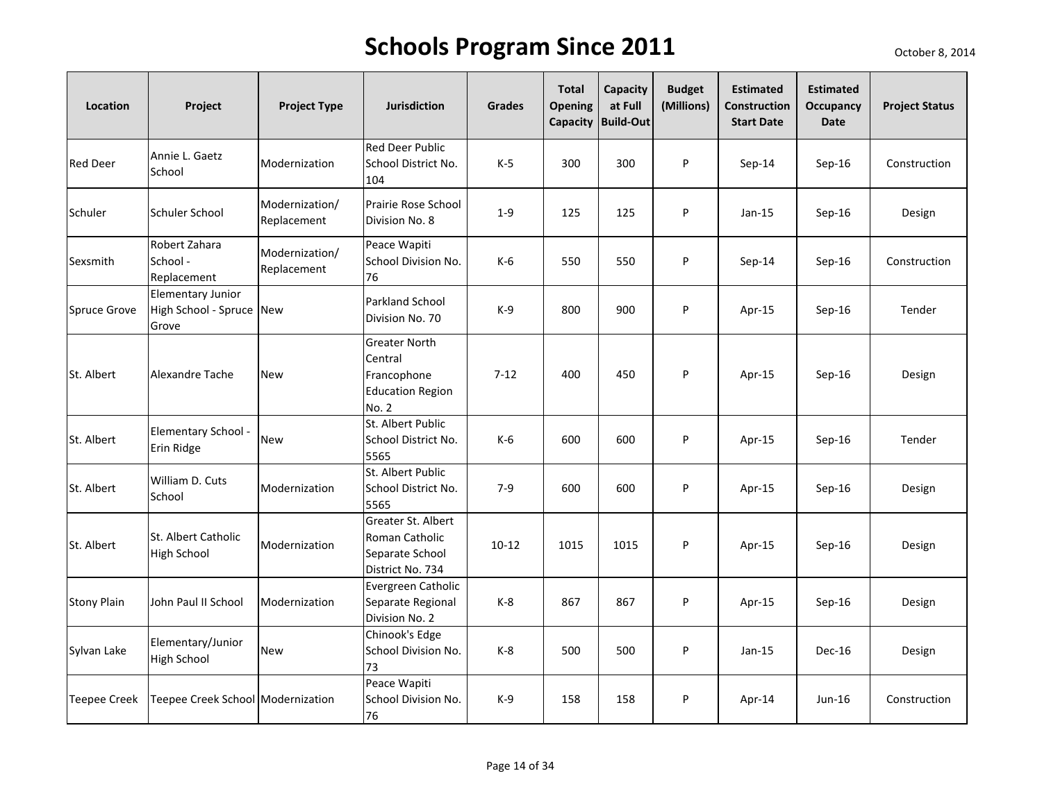| Location            | Project                                                       | <b>Project Type</b>           | <b>Jurisdiction</b>                                                         | <b>Grades</b> | <b>Total</b><br><b>Opening</b> | Capacity<br>at Full<br>Capacity Build-Out | <b>Budget</b><br>(Millions) | <b>Estimated</b><br><b>Construction</b><br><b>Start Date</b> | <b>Estimated</b><br><b>Occupancy</b><br><b>Date</b> | <b>Project Status</b> |
|---------------------|---------------------------------------------------------------|-------------------------------|-----------------------------------------------------------------------------|---------------|--------------------------------|-------------------------------------------|-----------------------------|--------------------------------------------------------------|-----------------------------------------------------|-----------------------|
| <b>Red Deer</b>     | Annie L. Gaetz<br>School                                      | Modernization                 | <b>Red Deer Public</b><br>School District No.<br>104                        | K-5           | 300                            | 300                                       | P                           | $Sep-14$                                                     | Sep-16                                              | Construction          |
| Schuler             | Schuler School                                                | Modernization/<br>Replacement | Prairie Rose School<br>Division No. 8                                       | $1 - 9$       | 125                            | 125                                       | P                           | $Jan-15$                                                     | Sep-16                                              | Design                |
| Sexsmith            | Robert Zahara<br>School -<br>Replacement                      | Modernization/<br>Replacement | Peace Wapiti<br>School Division No.<br>76                                   | $K-6$         | 550                            | 550                                       | P                           | $Sep-14$                                                     | $Sep-16$                                            | Construction          |
| <b>Spruce Grove</b> | <b>Elementary Junior</b><br>High School - Spruce New<br>Grove |                               | Parkland School<br>Division No. 70                                          | K-9           | 800                            | 900                                       | P                           | Apr-15                                                       | Sep-16                                              | Tender                |
| St. Albert          | Alexandre Tache                                               | <b>New</b>                    | Greater North<br>Central<br>Francophone<br><b>Education Region</b><br>No. 2 | $7 - 12$      | 400                            | 450                                       | P                           | Apr-15                                                       | Sep-16                                              | Design                |
| St. Albert          | Elementary School -<br>Erin Ridge                             | <b>New</b>                    | St. Albert Public<br>School District No.<br>5565                            | K-6           | 600                            | 600                                       | P                           | Apr-15                                                       | Sep-16                                              | Tender                |
| St. Albert          | William D. Cuts<br>School                                     | Modernization                 | St. Albert Public<br>School District No.<br>5565                            | $7-9$         | 600                            | 600                                       | P                           | Apr-15                                                       | $Sep-16$                                            | Design                |
| St. Albert          | St. Albert Catholic<br><b>High School</b>                     | Modernization                 | Greater St. Albert<br>Roman Catholic<br>Separate School<br>District No. 734 | $10 - 12$     | 1015                           | 1015                                      | P                           | Apr-15                                                       | $Sep-16$                                            | Design                |
| <b>Stony Plain</b>  | John Paul II School                                           | Modernization                 | Evergreen Catholic<br>Separate Regional<br>Division No. 2                   | $K-8$         | 867                            | 867                                       | P                           | Apr-15                                                       | $Sep-16$                                            | Design                |
| Sylvan Lake         | Elementary/Junior<br><b>High School</b>                       | <b>New</b>                    | Chinook's Edge<br>School Division No.<br>73                                 | K-8           | 500                            | 500                                       | P                           | Jan-15                                                       | Dec-16                                              | Design                |
| <b>Teepee Creek</b> | Teepee Creek School Modernization                             |                               | Peace Wapiti<br>School Division No.<br>76                                   | $K-9$         | 158                            | 158                                       | P                           | Apr-14                                                       | Jun-16                                              | Construction          |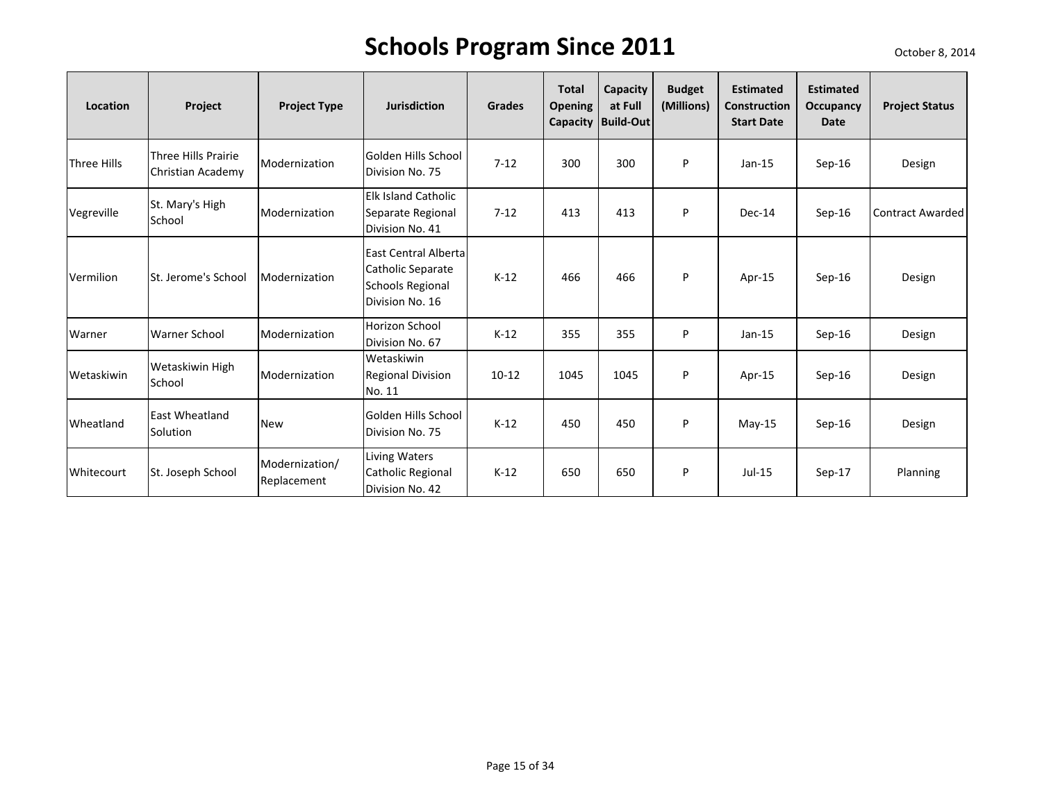| Location    | Project                                  | <b>Project Type</b>           | <b>Jurisdiction</b>                                                              | <b>Grades</b> | <b>Total</b><br><b>Opening</b> | Capacity<br>at Full<br>Capacity   Build-Out | <b>Budget</b><br>(Millions) | <b>Estimated</b><br><b>Construction</b><br><b>Start Date</b> | <b>Estimated</b><br>Occupancy<br>Date | <b>Project Status</b>   |
|-------------|------------------------------------------|-------------------------------|----------------------------------------------------------------------------------|---------------|--------------------------------|---------------------------------------------|-----------------------------|--------------------------------------------------------------|---------------------------------------|-------------------------|
| Three Hills | Three Hills Prairie<br>Christian Academy | Modernization                 | Golden Hills School<br>Division No. 75                                           | $7 - 12$      | 300                            | 300                                         | P                           | $Jan-15$                                                     | Sep-16                                | Design                  |
| Vegreville  | St. Mary's High<br>School                | Modernization                 | <b>Elk Island Catholic</b><br>Separate Regional<br>Division No. 41               | $7 - 12$      | 413                            | 413                                         | P                           | Dec-14                                                       | Sep-16                                | <b>Contract Awarded</b> |
| Vermilion   | St. Jerome's School                      | Modernization                 | East Central Alberta<br>Catholic Separate<br>Schools Regional<br>Division No. 16 | $K-12$        | 466                            | 466                                         | P                           | Apr-15                                                       | $Sep-16$                              | Design                  |
| Warner      | <b>Warner School</b>                     | Modernization                 | Horizon School<br>Division No. 67                                                | $K-12$        | 355                            | 355                                         | P                           | $Jan-15$                                                     | $Sep-16$                              | Design                  |
| Wetaskiwin  | Wetaskiwin High<br>School                | Modernization                 | Wetaskiwin<br><b>Regional Division</b><br>No. 11                                 | $10 - 12$     | 1045                           | 1045                                        | P                           | Apr- $15$                                                    | $Sep-16$                              | Design                  |
| Wheatland   | <b>East Wheatland</b><br>Solution        | <b>New</b>                    | Golden Hills School<br>Division No. 75                                           | $K-12$        | 450                            | 450                                         | P                           | $May-15$                                                     | $Sep-16$                              | Design                  |
| Whitecourt  | St. Joseph School                        | Modernization/<br>Replacement | Living Waters<br>Catholic Regional<br>Division No. 42                            | $K-12$        | 650                            | 650                                         | P                           | $Jul-15$                                                     | Sep-17                                | Planning                |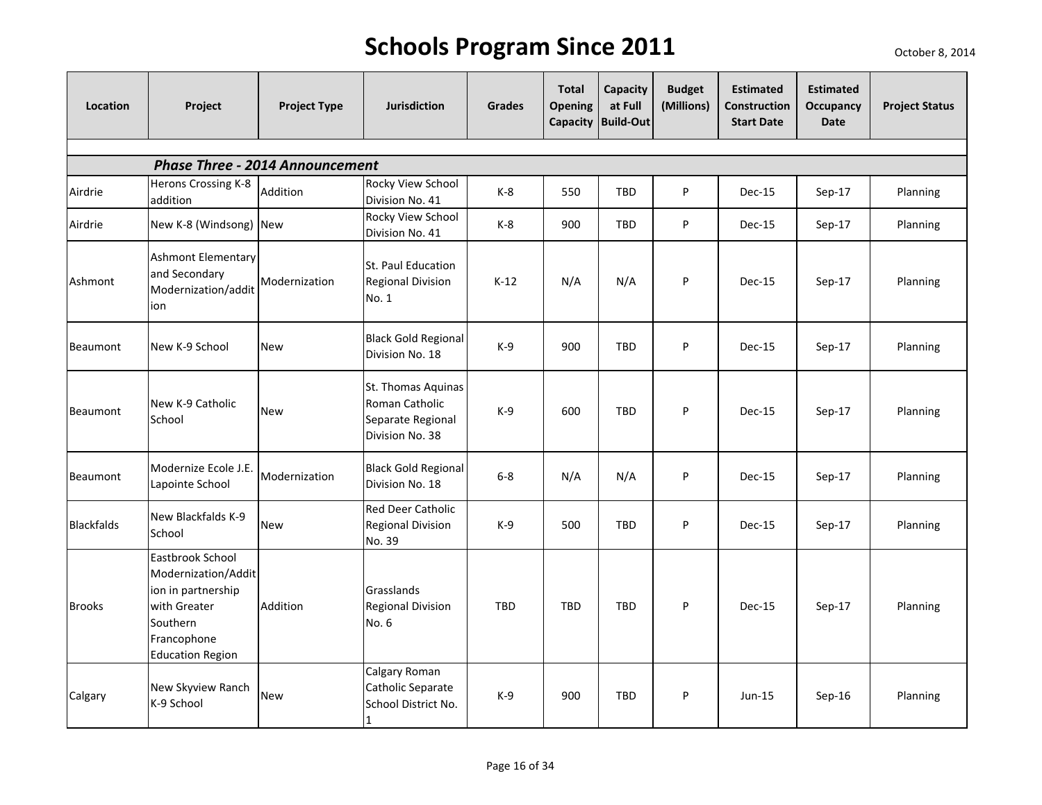| Location          | Project                                                                                                                             | <b>Project Type</b>                    | <b>Jurisdiction</b>                                                          | <b>Grades</b> | <b>Total</b><br><b>Opening</b> | Capacity<br>at Full<br>Capacity Build-Out | <b>Budget</b><br>(Millions) | <b>Estimated</b><br><b>Construction</b><br><b>Start Date</b> | <b>Estimated</b><br>Occupancy<br>Date | <b>Project Status</b> |
|-------------------|-------------------------------------------------------------------------------------------------------------------------------------|----------------------------------------|------------------------------------------------------------------------------|---------------|--------------------------------|-------------------------------------------|-----------------------------|--------------------------------------------------------------|---------------------------------------|-----------------------|
|                   |                                                                                                                                     |                                        |                                                                              |               |                                |                                           |                             |                                                              |                                       |                       |
|                   |                                                                                                                                     | <b>Phase Three - 2014 Announcement</b> |                                                                              |               |                                |                                           |                             |                                                              |                                       |                       |
| Airdrie           | Herons Crossing K-8<br>addition                                                                                                     | Addition                               | Rocky View School<br>Division No. 41                                         | $K-8$         | 550                            | <b>TBD</b>                                | P                           | Dec-15                                                       | $Sep-17$                              | Planning              |
| Airdrie           | New K-8 (Windsong) New                                                                                                              |                                        | Rocky View School<br>Division No. 41                                         | $K-8$         | 900                            | <b>TBD</b>                                | P                           | Dec-15                                                       | Sep-17                                | Planning              |
| Ashmont           | <b>Ashmont Elementary</b><br>and Secondary<br>Modernization/addit<br>ion                                                            | Modernization                          | St. Paul Education<br><b>Regional Division</b><br>No. 1                      | $K-12$        | N/A                            | N/A                                       | P                           | Dec-15                                                       | Sep-17                                | Planning              |
| Beaumont          | New K-9 School                                                                                                                      | <b>New</b>                             | <b>Black Gold Regional</b><br>Division No. 18                                | $K-9$         | 900                            | <b>TBD</b>                                | P                           | Dec-15                                                       | Sep-17                                | Planning              |
| Beaumont          | New K-9 Catholic<br>School                                                                                                          | <b>New</b>                             | St. Thomas Aquinas<br>Roman Catholic<br>Separate Regional<br>Division No. 38 | $K-9$         | 600                            | <b>TBD</b>                                | P                           | Dec-15                                                       | Sep-17                                | Planning              |
| Beaumont          | Modernize Ecole J.E.<br>Lapointe School                                                                                             | Modernization                          | <b>Black Gold Regional</b><br>Division No. 18                                | $6 - 8$       | N/A                            | N/A                                       | P                           | Dec-15                                                       | Sep-17                                | Planning              |
| <b>Blackfalds</b> | New Blackfalds K-9<br>School                                                                                                        | <b>New</b>                             | <b>Red Deer Catholic</b><br><b>Regional Division</b><br>No. 39               | $K-9$         | 500                            | <b>TBD</b>                                | P                           | Dec-15                                                       | Sep-17                                | Planning              |
| <b>Brooks</b>     | Eastbrook School<br>Modernization/Addit<br>ion in partnership<br>with Greater<br>Southern<br>Francophone<br><b>Education Region</b> | Addition                               | Grasslands<br><b>Regional Division</b><br>No. 6                              | <b>TBD</b>    | TBD                            | <b>TBD</b>                                | P                           | Dec-15                                                       | Sep-17                                | Planning              |
| Calgary           | New Skyview Ranch<br>K-9 School                                                                                                     | <b>New</b>                             | Calgary Roman<br>Catholic Separate<br>School District No.                    | $K-9$         | 900                            | <b>TBD</b>                                | P                           | $Jun-15$                                                     | Sep-16                                | Planning              |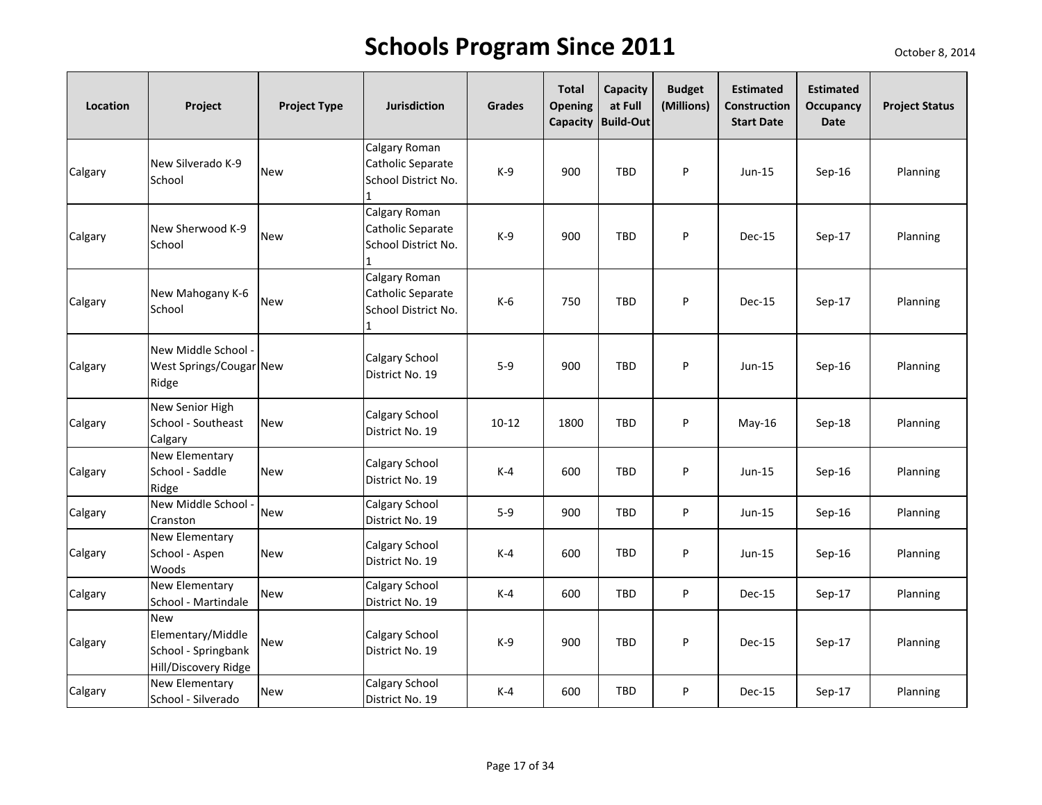| Location | Project                                                                        | <b>Project Type</b> | Jurisdiction                                                   | Grades    | <b>Total</b><br><b>Opening</b> | Capacity<br>at Full<br>Capacity Build-Out | <b>Budget</b><br>(Millions) | <b>Estimated</b><br>Construction<br><b>Start Date</b> | <b>Estimated</b><br>Occupancy<br>Date | <b>Project Status</b> |
|----------|--------------------------------------------------------------------------------|---------------------|----------------------------------------------------------------|-----------|--------------------------------|-------------------------------------------|-----------------------------|-------------------------------------------------------|---------------------------------------|-----------------------|
| Calgary  | New Silverado K-9<br>School                                                    | <b>New</b>          | Calgary Roman<br>Catholic Separate<br>School District No.      | $K-9$     | 900                            | TBD                                       | P                           | $Jun-15$                                              | $Sep-16$                              | Planning              |
| Calgary  | New Sherwood K-9<br>School                                                     | <b>New</b>          | Calgary Roman<br>Catholic Separate<br>School District No.<br>1 | $K-9$     | 900                            | TBD                                       | P                           | Dec-15                                                | Sep-17                                | Planning              |
| Calgary  | New Mahogany K-6<br>School                                                     | <b>New</b>          | Calgary Roman<br>Catholic Separate<br>School District No.      | $K-6$     | 750                            | <b>TBD</b>                                | P                           | Dec-15                                                | Sep-17                                | Planning              |
| Calgary  | New Middle School<br>West Springs/Cougar New<br>Ridge                          |                     | Calgary School<br>District No. 19                              | $5-9$     | 900                            | TBD                                       | P                           | Jun-15                                                | $Sep-16$                              | Planning              |
| Calgary  | New Senior High<br>School - Southeast<br>Calgary                               | <b>New</b>          | Calgary School<br>District No. 19                              | $10 - 12$ | 1800                           | <b>TBD</b>                                | P                           | $May-16$                                              | Sep-18                                | Planning              |
| Calgary  | New Elementary<br>School - Saddle<br>Ridge                                     | <b>New</b>          | Calgary School<br>District No. 19                              | $K-4$     | 600                            | <b>TBD</b>                                | P                           | $Jun-15$                                              | $Sep-16$                              | Planning              |
| Calgary  | New Middle School<br>Cranston                                                  | <b>New</b>          | Calgary School<br>District No. 19                              | $5-9$     | 900                            | TBD                                       | P                           | $Jun-15$                                              | $Sep-16$                              | Planning              |
| Calgary  | New Elementary<br>School - Aspen<br>Woods                                      | <b>New</b>          | Calgary School<br>District No. 19                              | $K-4$     | 600                            | <b>TBD</b>                                | P                           | $Jun-15$                                              | $Sep-16$                              | Planning              |
| Calgary  | New Elementary<br>School - Martindale                                          | <b>New</b>          | Calgary School<br>District No. 19                              | $K-4$     | 600                            | TBD                                       | ${\sf P}$                   | Dec-15                                                | Sep-17                                | Planning              |
| Calgary  | <b>New</b><br>Elementary/Middle<br>School - Springbank<br>Hill/Discovery Ridge | <b>New</b>          | Calgary School<br>District No. 19                              | $K-9$     | 900                            | <b>TBD</b>                                | P                           | <b>Dec-15</b>                                         | Sep-17                                | Planning              |
| Calgary  | New Elementary<br>School - Silverado                                           | <b>New</b>          | Calgary School<br>District No. 19                              | $K-4$     | 600                            | TBD                                       | ${\sf P}$                   | <b>Dec-15</b>                                         | Sep-17                                | Planning              |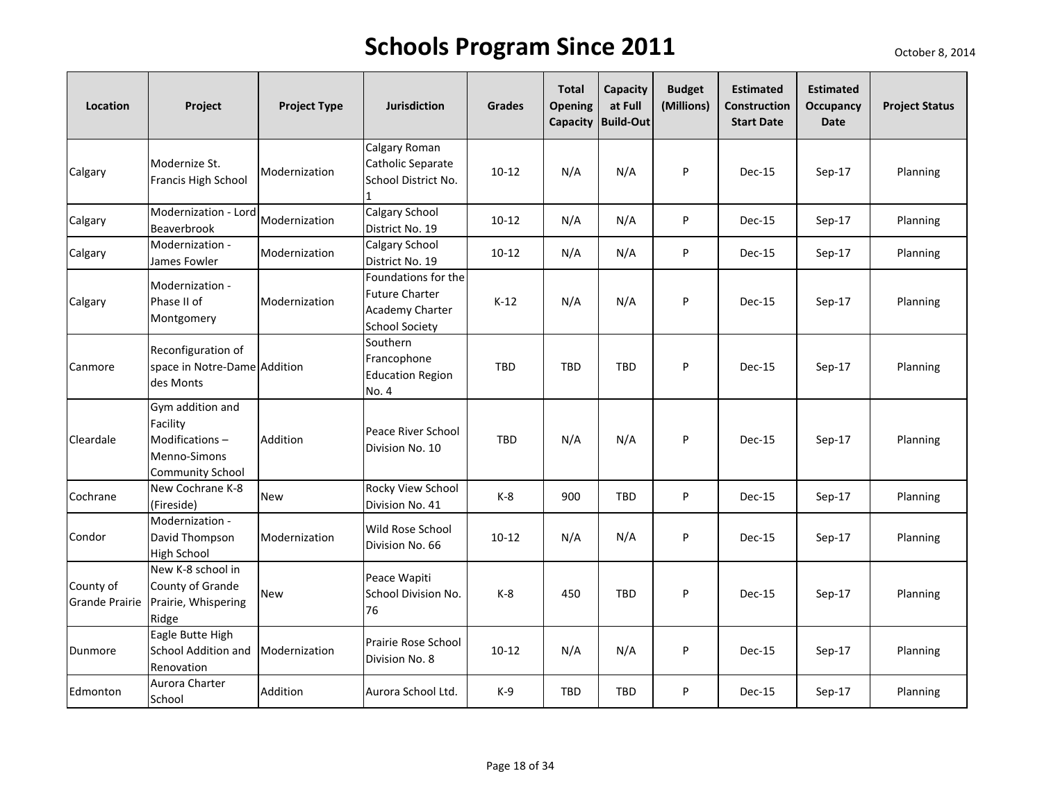| Location                           | Project                                                                                   | <b>Project Type</b> | <b>Jurisdiction</b>                                                                      | <b>Grades</b> | <b>Total</b><br><b>Opening</b> | Capacity<br>at Full<br>Capacity Build-Out | <b>Budget</b><br>(Millions) | <b>Estimated</b><br><b>Construction</b><br><b>Start Date</b> | <b>Estimated</b><br>Occupancy<br><b>Date</b> | <b>Project Status</b> |
|------------------------------------|-------------------------------------------------------------------------------------------|---------------------|------------------------------------------------------------------------------------------|---------------|--------------------------------|-------------------------------------------|-----------------------------|--------------------------------------------------------------|----------------------------------------------|-----------------------|
| Calgary                            | Modernize St.<br>Francis High School                                                      | Modernization       | Calgary Roman<br>Catholic Separate<br>School District No.<br>$\mathbf{1}$                | $10 - 12$     | N/A                            | N/A                                       | P                           | Dec-15                                                       | $Sep-17$                                     | Planning              |
| Calgary                            | Modernization - Lord<br>Beaverbrook                                                       | Modernization       | Calgary School<br>District No. 19                                                        | $10 - 12$     | N/A                            | N/A                                       | P                           | Dec-15                                                       | $Sep-17$                                     | Planning              |
| Calgary                            | Modernization -<br>James Fowler                                                           | Modernization       | Calgary School<br>District No. 19                                                        | $10 - 12$     | N/A                            | N/A                                       | P                           | Dec-15                                                       | Sep-17                                       | Planning              |
| Calgary                            | Modernization -<br>Phase II of<br>Montgomery                                              | Modernization       | Foundations for the<br><b>Future Charter</b><br>Academy Charter<br><b>School Society</b> | $K-12$        | N/A                            | N/A                                       | P                           | Dec-15                                                       | $Sep-17$                                     | Planning              |
| Canmore                            | Reconfiguration of<br>space in Notre-Dame Addition<br>des Monts                           |                     | Southern<br>Francophone<br><b>Education Region</b><br>No. 4                              | <b>TBD</b>    | <b>TBD</b>                     | <b>TBD</b>                                | P                           | Dec-15                                                       | Sep-17                                       | Planning              |
| Cleardale                          | Gym addition and<br>Facility<br>Modifications-<br>Menno-Simons<br><b>Community School</b> | Addition            | Peace River School<br>Division No. 10                                                    | <b>TBD</b>    | N/A                            | N/A                                       | P                           | Dec-15                                                       | Sep-17                                       | Planning              |
| Cochrane                           | New Cochrane K-8<br>(Fireside)                                                            | New                 | Rocky View School<br>Division No. 41                                                     | $K-8$         | 900                            | <b>TBD</b>                                | P                           | Dec-15                                                       | Sep-17                                       | <b>Planning</b>       |
| Condor                             | Modernization -<br>David Thompson<br><b>High School</b>                                   | Modernization       | Wild Rose School<br>Division No. 66                                                      | $10 - 12$     | N/A                            | N/A                                       | P                           | Dec-15                                                       | $Sep-17$                                     | <b>Planning</b>       |
| County of<br><b>Grande Prairie</b> | New K-8 school in<br>County of Grande<br>Prairie, Whispering<br>Ridge                     | New                 | Peace Wapiti<br>School Division No.<br>76                                                | $K-8$         | 450                            | <b>TBD</b>                                | P                           | Dec-15                                                       | $Sep-17$                                     | Planning              |
| Dunmore                            | Eagle Butte High<br>School Addition and Modernization<br>Renovation                       |                     | Prairie Rose School<br>Division No. 8                                                    | $10 - 12$     | N/A                            | N/A                                       | P                           | <b>Dec-15</b>                                                | Sep-17                                       | Planning              |
| Edmonton                           | Aurora Charter<br>School                                                                  | Addition            | Aurora School Ltd.                                                                       | K-9           | <b>TBD</b>                     | TBD                                       | P                           | <b>Dec-15</b>                                                | Sep-17                                       | Planning              |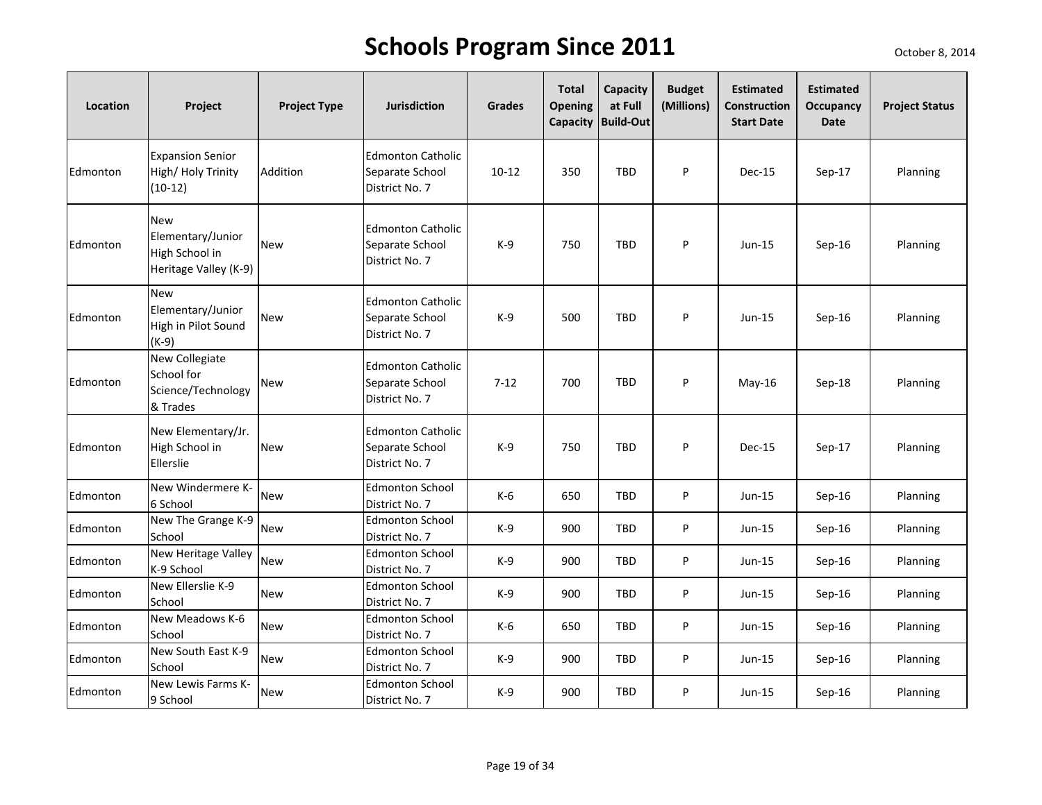| Location | Project                                                                    | <b>Project Type</b> | <b>Jurisdiction</b>                                           | Grades    | <b>Total</b><br><b>Opening</b><br>Capacity | Capacity<br>at Full<br><b>Build-Out</b> | <b>Budget</b><br>(Millions) | <b>Estimated</b><br>Construction<br><b>Start Date</b> | <b>Estimated</b><br>Occupancy<br><b>Date</b> | <b>Project Status</b> |
|----------|----------------------------------------------------------------------------|---------------------|---------------------------------------------------------------|-----------|--------------------------------------------|-----------------------------------------|-----------------------------|-------------------------------------------------------|----------------------------------------------|-----------------------|
| Edmonton | <b>Expansion Senior</b><br>High/Holy Trinity<br>$(10-12)$                  | Addition            | <b>Edmonton Catholic</b><br>Separate School<br>District No. 7 | $10 - 12$ | 350                                        | <b>TBD</b>                              | P                           | <b>Dec-15</b>                                         | $Sep-17$                                     | Planning              |
| Edmonton | <b>New</b><br>Elementary/Junior<br>High School in<br>Heritage Valley (K-9) | <b>New</b>          | <b>Edmonton Catholic</b><br>Separate School<br>District No. 7 | $K-9$     | 750                                        | TBD                                     | P                           | $Jun-15$                                              | $Sep-16$                                     | Planning              |
| Edmonton | <b>New</b><br>Elementary/Junior<br>High in Pilot Sound<br>$(K-9)$          | New                 | <b>Edmonton Catholic</b><br>Separate School<br>District No. 7 | $K-9$     | 500                                        | <b>TBD</b>                              | P                           | Jun-15                                                | $Sep-16$                                     | Planning              |
| Edmonton | New Collegiate<br>School for<br>Science/Technology<br>& Trades             | New                 | <b>Edmonton Catholic</b><br>Separate School<br>District No. 7 | $7 - 12$  | 700                                        | TBD                                     | P                           | May-16                                                | $Sep-18$                                     | Planning              |
| Edmonton | New Elementary/Jr.<br>High School in<br>Ellerslie                          | <b>New</b>          | <b>Edmonton Catholic</b><br>Separate School<br>District No. 7 | $K-9$     | 750                                        | <b>TBD</b>                              | P                           | Dec-15                                                | Sep-17                                       | Planning              |
| Edmonton | New Windermere K-<br>6 School                                              | <b>New</b>          | <b>Edmonton School</b><br>District No. 7                      | $K-6$     | 650                                        | <b>TBD</b>                              | P                           | Jun-15                                                | $Sep-16$                                     | Planning              |
| Edmonton | New The Grange K-9<br>School                                               | <b>New</b>          | <b>Edmonton School</b><br>District No. 7                      | $K-9$     | 900                                        | TBD                                     | P                           | Jun-15                                                | $Sep-16$                                     | Planning              |
| Edmonton | New Heritage Valley<br>K-9 School                                          | <b>New</b>          | <b>Edmonton School</b><br>District No. 7                      | $K-9$     | 900                                        | <b>TBD</b>                              | P                           | $Jun-15$                                              | $Sep-16$                                     | Planning              |
| Edmonton | New Ellerslie K-9<br>School                                                | <b>New</b>          | <b>Edmonton School</b><br>District No. 7                      | $K-9$     | 900                                        | TBD                                     | P                           | $Jun-15$                                              | $Sep-16$                                     | Planning              |
| Edmonton | New Meadows K-6<br>School                                                  | <b>New</b>          | <b>Edmonton School</b><br>District No. 7                      | $K-6$     | 650                                        | TBD                                     | P                           | Jun-15                                                | $Sep-16$                                     | Planning              |
| Edmonton | New South East K-9<br>School                                               | <b>New</b>          | <b>Edmonton School</b><br>District No. 7                      | $K-9$     | 900                                        | <b>TBD</b>                              | P                           | Jun-15                                                | $Sep-16$                                     | Planning              |
| Edmonton | New Lewis Farms K-<br>9 School                                             | <b>New</b>          | <b>Edmonton School</b><br>District No. 7                      | $K-9$     | 900                                        | <b>TBD</b>                              | P                           | $Jun-15$                                              | $Sep-16$                                     | Planning              |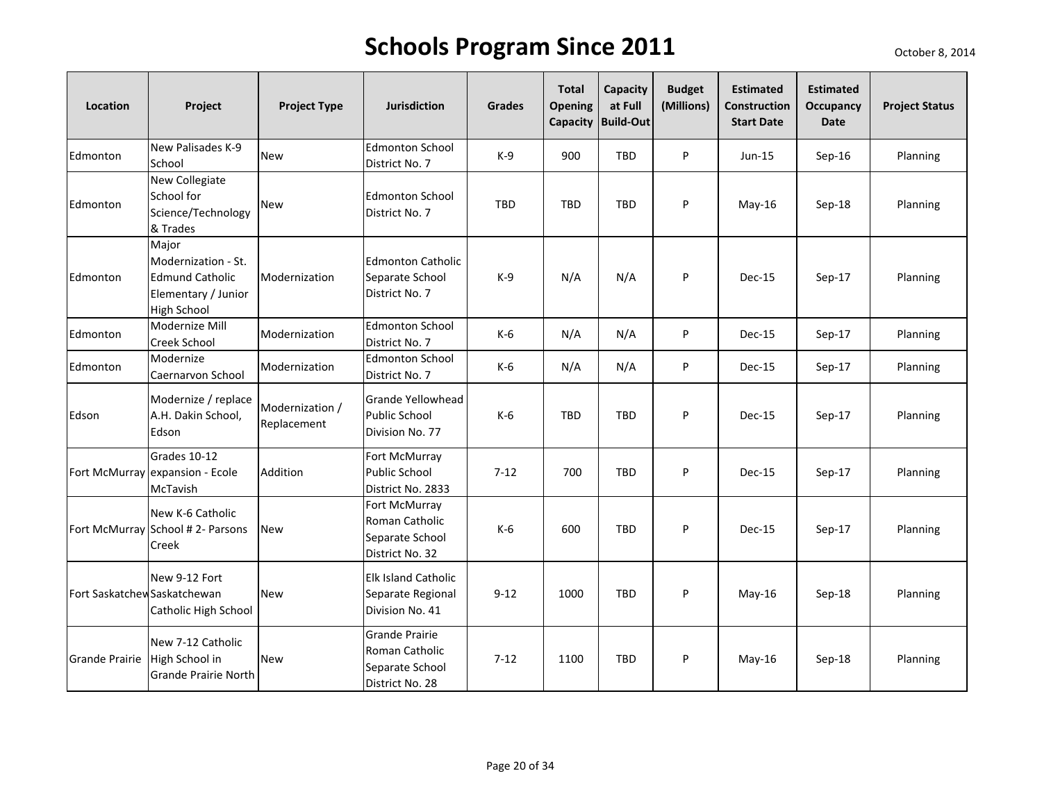| Location                     | Project                                                                                             | <b>Project Type</b>            | <b>Jurisdiction</b>                                                           | <b>Grades</b> | <b>Total</b><br>Opening | Capacity<br>at Full<br>Capacity Build-Out | <b>Budget</b><br>(Millions) | <b>Estimated</b><br><b>Construction</b><br><b>Start Date</b> | <b>Estimated</b><br><b>Occupancy</b><br>Date | <b>Project Status</b> |
|------------------------------|-----------------------------------------------------------------------------------------------------|--------------------------------|-------------------------------------------------------------------------------|---------------|-------------------------|-------------------------------------------|-----------------------------|--------------------------------------------------------------|----------------------------------------------|-----------------------|
| Edmonton                     | New Palisades K-9<br>School                                                                         | <b>New</b>                     | <b>Edmonton School</b><br>District No. 7                                      | $K-9$         | 900                     | <b>TBD</b>                                | P                           | $Jun-15$                                                     | Sep-16                                       | Planning              |
| Edmonton                     | New Collegiate<br>School for<br>Science/Technology<br>& Trades                                      | <b>New</b>                     | <b>Edmonton School</b><br>District No. 7                                      | <b>TBD</b>    | <b>TBD</b>              | <b>TBD</b>                                | P                           | $May-16$                                                     | Sep-18                                       | Planning              |
| Edmonton                     | Major<br>Modernization - St.<br><b>Edmund Catholic</b><br>Elementary / Junior<br><b>High School</b> | Modernization                  | <b>Edmonton Catholic</b><br>Separate School<br>District No. 7                 | $K-9$         | N/A                     | N/A                                       | P                           | Dec-15                                                       | Sep-17                                       | Planning              |
| Edmonton                     | Modernize Mill<br>Creek School                                                                      | Modernization                  | <b>Edmonton School</b><br>District No. 7                                      | K-6           | N/A                     | N/A                                       | P                           | Dec-15                                                       | Sep-17                                       | Planning              |
| Edmonton                     | Modernize<br>Caernarvon School                                                                      | Modernization                  | <b>Edmonton School</b><br>District No. 7                                      | K-6           | N/A                     | N/A                                       | P                           | Dec-15                                                       | Sep-17                                       | Planning              |
| Edson                        | Modernize / replace<br>A.H. Dakin School,<br>Edson                                                  | Modernization /<br>Replacement | <b>Grande Yellowhead</b><br>Public School<br>Division No. 77                  | K-6           | <b>TBD</b>              | <b>TBD</b>                                | P                           | Dec-15                                                       | $Sep-17$                                     | Planning              |
|                              | Grades 10-12<br>Fort McMurray expansion - Ecole<br>McTavish                                         | Addition                       | Fort McMurray<br><b>Public School</b><br>District No. 2833                    | $7 - 12$      | 700                     | <b>TBD</b>                                | P                           | Dec-15                                                       | Sep-17                                       | Planning              |
|                              | New K-6 Catholic<br>Fort McMurray School # 2- Parsons<br>Creek                                      | <b>New</b>                     | Fort McMurray<br>Roman Catholic<br>Separate School<br>District No. 32         | $K-6$         | 600                     | <b>TBD</b>                                | P                           | Dec-15                                                       | Sep-17                                       | Planning              |
| Fort Saskatchew Saskatchewan | New 9-12 Fort<br>Catholic High School                                                               | <b>New</b>                     | Elk Island Catholic<br>Separate Regional<br>Division No. 41                   | $9 - 12$      | 1000                    | <b>TBD</b>                                | P                           | $May-16$                                                     | Sep-18                                       | Planning              |
| <b>Grande Prairie</b>        | New 7-12 Catholic<br>High School in<br>Grande Prairie North                                         | <b>New</b>                     | <b>Grande Prairie</b><br>Roman Catholic<br>Separate School<br>District No. 28 | $7 - 12$      | 1100                    | <b>TBD</b>                                | P                           | May-16                                                       | Sep-18                                       | Planning              |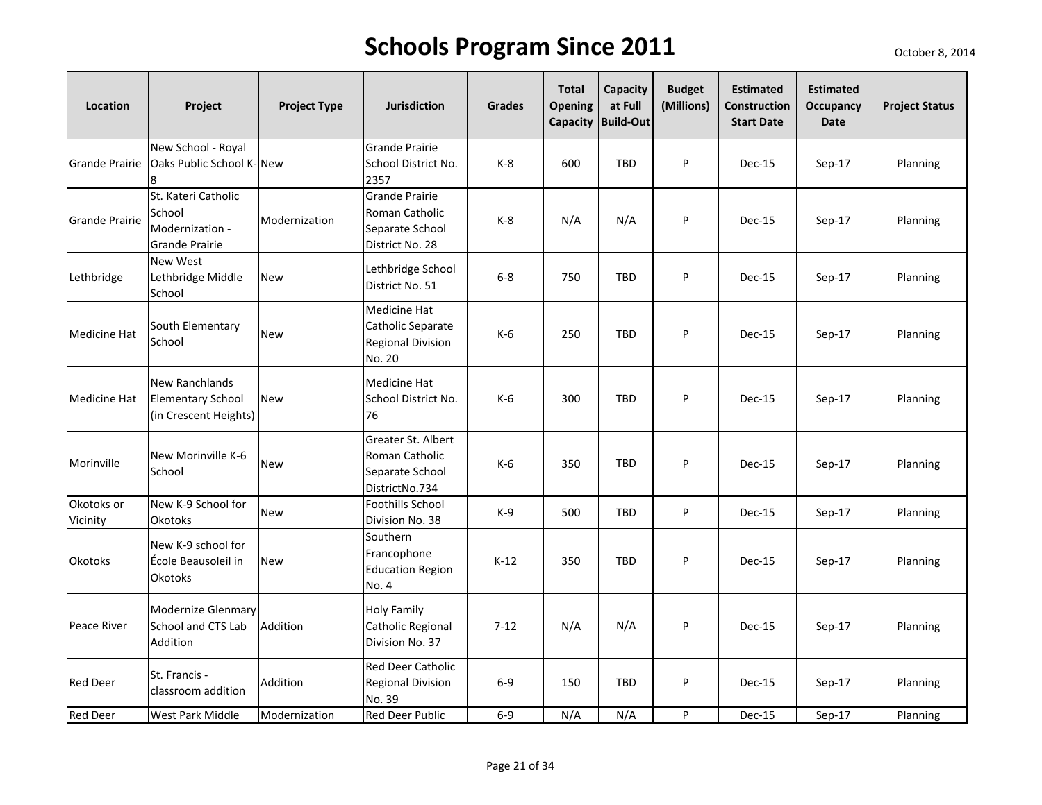| Location               | Project                                                                   | <b>Project Type</b> | <b>Jurisdiction</b>                                                           | <b>Grades</b> | <b>Total</b><br><b>Opening</b><br>Capacity | Capacity<br>at Full<br><b>Build-Out</b> | <b>Budget</b><br>(Millions) | <b>Estimated</b><br>Construction<br><b>Start Date</b> | <b>Estimated</b><br>Occupancy<br>Date | <b>Project Status</b> |
|------------------------|---------------------------------------------------------------------------|---------------------|-------------------------------------------------------------------------------|---------------|--------------------------------------------|-----------------------------------------|-----------------------------|-------------------------------------------------------|---------------------------------------|-----------------------|
| <b>Grande Prairie</b>  | New School - Royal<br>Oaks Public School K-New                            |                     | <b>Grande Prairie</b><br>School District No.<br>2357                          | $K-8$         | 600                                        | <b>TBD</b>                              | P                           | Dec-15                                                | Sep-17                                | Planning              |
| <b>Grande Prairie</b>  | St. Kateri Catholic<br>School<br>Modernization -<br><b>Grande Prairie</b> | Modernization       | <b>Grande Prairie</b><br>Roman Catholic<br>Separate School<br>District No. 28 | $K-8$         | N/A                                        | N/A                                     | P                           | Dec-15                                                | $Sep-17$                              | Planning              |
| Lethbridge             | <b>New West</b><br>Lethbridge Middle<br>School                            | <b>New</b>          | Lethbridge School<br>District No. 51                                          | $6 - 8$       | 750                                        | <b>TBD</b>                              | P                           | Dec-15                                                | Sep-17                                | Planning              |
| Medicine Hat           | South Elementary<br>School                                                | <b>New</b>          | Medicine Hat<br>Catholic Separate<br><b>Regional Division</b><br>No. 20       | $K-6$         | 250                                        | <b>TBD</b>                              | P                           | Dec-15                                                | Sep-17                                | Planning              |
| <b>Medicine Hat</b>    | New Ranchlands<br><b>Elementary School</b><br>(in Crescent Heights)       | <b>New</b>          | Medicine Hat<br>School District No.<br>76                                     | $K-6$         | 300                                        | <b>TBD</b>                              | P                           | Dec-15                                                | $Sep-17$                              | Planning              |
| Morinville             | New Morinville K-6<br>School                                              | New                 | Greater St. Albert<br>Roman Catholic<br>Separate School<br>DistrictNo.734     | $K-6$         | 350                                        | <b>TBD</b>                              | P                           | Dec-15                                                | $Sep-17$                              | Planning              |
| Okotoks or<br>Vicinity | New K-9 School for<br><b>Okotoks</b>                                      | <b>New</b>          | <b>Foothills School</b><br>Division No. 38                                    | $K-9$         | 500                                        | <b>TBD</b>                              | P                           | Dec-15                                                | $Sep-17$                              | Planning              |
| <b>Okotoks</b>         | New K-9 school for<br>École Beausoleil in<br><b>Okotoks</b>               | <b>New</b>          | Southern<br>Francophone<br><b>Education Region</b><br>No. 4                   | $K-12$        | 350                                        | <b>TBD</b>                              | P                           | Dec-15                                                | Sep-17                                | Planning              |
| Peace River            | <b>Modernize Glenmary</b><br>School and CTS Lab<br>Addition               | Addition            | <b>Holy Family</b><br>Catholic Regional<br>Division No. 37                    | $7 - 12$      | N/A                                        | N/A                                     | P                           | Dec-15                                                | $Sep-17$                              | Planning              |
| Red Deer               | St. Francis -<br>classroom addition                                       | Addition            | Red Deer Catholic<br><b>Regional Division</b><br>No. 39                       | $6-9$         | 150                                        | <b>TBD</b>                              | P                           | Dec-15                                                | Sep-17                                | Planning              |
| <b>Red Deer</b>        | West Park Middle                                                          | Modernization       | Red Deer Public                                                               | $6-9$         | N/A                                        | N/A                                     | P                           | Dec-15                                                | Sep-17                                | Planning              |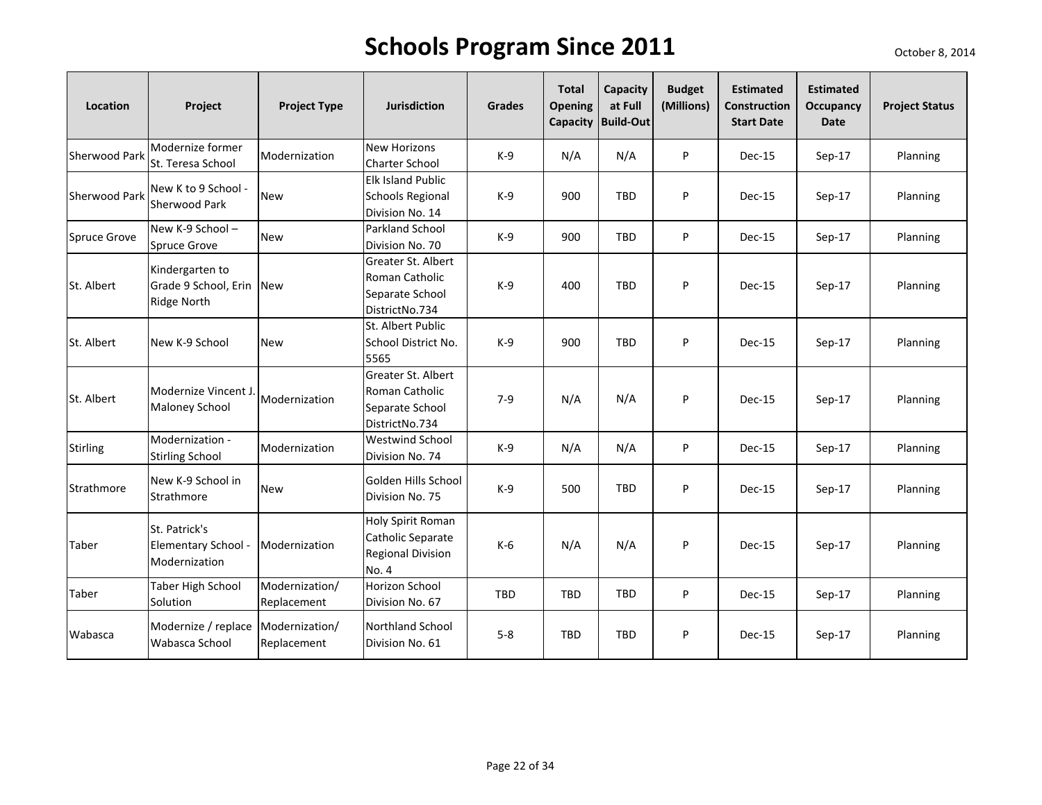| Location        | Project                                                           | <b>Project Type</b>           | <b>Jurisdiction</b>                                                         | <b>Grades</b> | <b>Total</b><br>Opening<br><b>Capacity</b> | Capacity<br>at Full<br><b>Build-Out</b> | <b>Budget</b><br>(Millions) | <b>Estimated</b><br><b>Construction</b><br><b>Start Date</b> | <b>Estimated</b><br><b>Occupancy</b><br><b>Date</b> | <b>Project Status</b> |
|-----------------|-------------------------------------------------------------------|-------------------------------|-----------------------------------------------------------------------------|---------------|--------------------------------------------|-----------------------------------------|-----------------------------|--------------------------------------------------------------|-----------------------------------------------------|-----------------------|
| Sherwood Park   | Modernize former<br>St. Teresa School                             | Modernization                 | <b>New Horizons</b><br><b>Charter School</b>                                | K-9           | N/A                                        | N/A                                     | P                           | Dec-15                                                       | $Sep-17$                                            | Planning              |
| Sherwood Park   | New K to 9 School -<br><b>Sherwood Park</b>                       | <b>New</b>                    | <b>Elk Island Public</b><br><b>Schools Regional</b><br>Division No. 14      | $K-9$         | 900                                        | <b>TBD</b>                              | P                           | <b>Dec-15</b>                                                | $Sep-17$                                            | Planning              |
| Spruce Grove    | New K-9 School -<br><b>Spruce Grove</b>                           | <b>New</b>                    | Parkland School<br>Division No. 70                                          | $K-9$         | 900                                        | <b>TBD</b>                              | P                           | Dec-15                                                       | Sep-17                                              | Planning              |
| St. Albert      | Kindergarten to<br>Grade 9 School, Erin New<br><b>Ridge North</b> |                               | Greater St. Albert<br>Roman Catholic<br>Separate School<br>DistrictNo.734   | $K-9$         | 400                                        | <b>TBD</b>                              | P                           | Dec-15                                                       | Sep-17                                              | Planning              |
| St. Albert      | New K-9 School                                                    | <b>New</b>                    | St. Albert Public<br>School District No.<br>5565                            | $K-9$         | 900                                        | <b>TBD</b>                              | P                           | Dec-15                                                       | Sep-17                                              | Planning              |
| St. Albert      | Modernize Vincent J.<br><b>Maloney School</b>                     | Modernization                 | Greater St. Albert<br>Roman Catholic<br>Separate School<br>DistrictNo.734   | $7-9$         | N/A                                        | N/A                                     | P                           | Dec-15                                                       | Sep-17                                              | Planning              |
| <b>Stirling</b> | Modernization -<br><b>Stirling School</b>                         | Modernization                 | <b>Westwind School</b><br>Division No. 74                                   | $K-9$         | N/A                                        | N/A                                     | P                           | <b>Dec-15</b>                                                | $Sep-17$                                            | Planning              |
| Strathmore      | New K-9 School in<br>Strathmore                                   | <b>New</b>                    | Golden Hills School<br>Division No. 75                                      | K-9           | 500                                        | TBD                                     | P                           | Dec-15                                                       | $Sep-17$                                            | Planning              |
| Taber           | St. Patrick's<br>Elementary School -<br>Modernization             | Modernization                 | Holy Spirit Roman<br>Catholic Separate<br><b>Regional Division</b><br>No. 4 | $K-6$         | N/A                                        | N/A                                     | P                           | <b>Dec-15</b>                                                | $Sep-17$                                            | Planning              |
| Taber           | Taber High School<br>Solution                                     | Modernization/<br>Replacement | Horizon School<br>Division No. 67                                           | <b>TBD</b>    | <b>TBD</b>                                 | <b>TBD</b>                              | P                           | Dec-15                                                       | $Sep-17$                                            | Planning              |
| Wabasca         | Modernize / replace Modernization/<br>Wabasca School              | Replacement                   | <b>Northland School</b><br>Division No. 61                                  | $5 - 8$       | <b>TBD</b>                                 | <b>TBD</b>                              | P                           | Dec-15                                                       | Sep-17                                              | Planning              |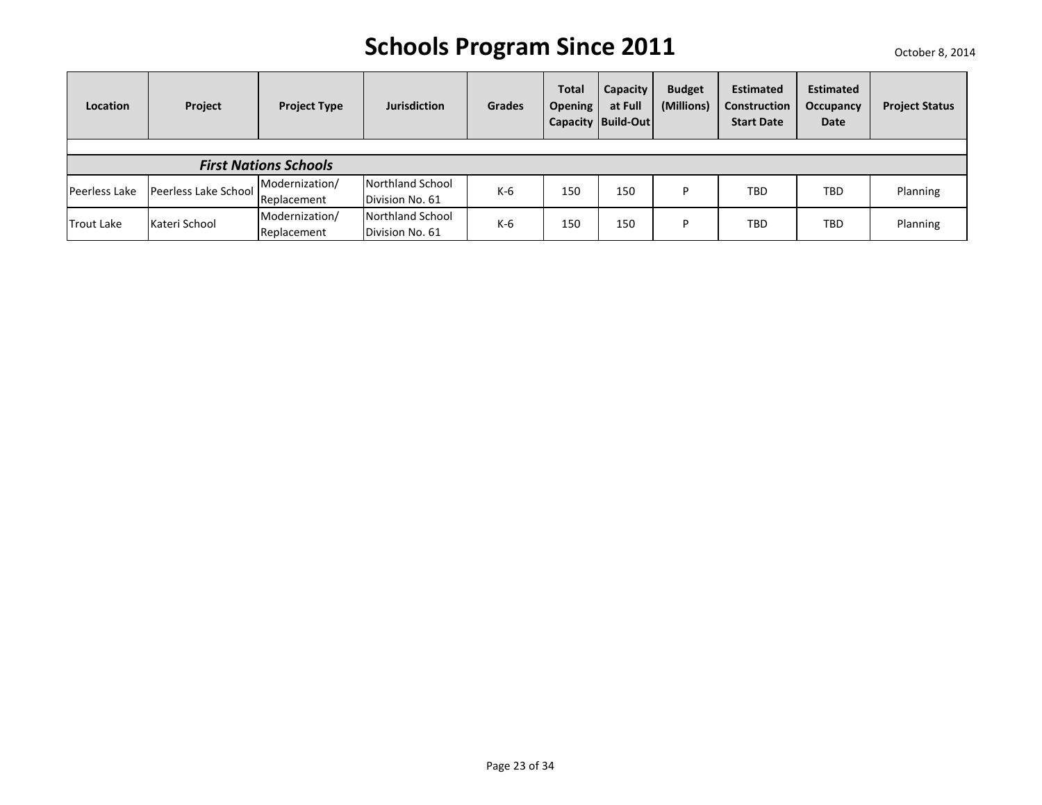| Location          | Project              | <b>Project Type</b>          | <b>Jurisdiction</b> | <b>Grades</b> | <b>Total</b><br><b>Opening</b> | Capacity<br>at Full<br>Capacity   Build-Out | <b>Budget</b><br>(Millions) | <b>Estimated</b><br><b>Construction</b><br><b>Start Date</b> | <b>Estimated</b><br>Occupancy<br>Date | <b>Project Status</b> |
|-------------------|----------------------|------------------------------|---------------------|---------------|--------------------------------|---------------------------------------------|-----------------------------|--------------------------------------------------------------|---------------------------------------|-----------------------|
|                   |                      |                              |                     |               |                                |                                             |                             |                                                              |                                       |                       |
|                   |                      | <b>First Nations Schools</b> |                     |               |                                |                                             |                             |                                                              |                                       |                       |
|                   |                      | Modernization/               | Northland School    |               |                                |                                             | D                           | <b>TBD</b>                                                   | <b>TBD</b>                            |                       |
| Peerless Lake     | Peerless Lake School | Replacement                  | Division No. 61     | K-6           | 150                            | 150                                         |                             |                                                              |                                       | Planning              |
| <b>Trout Lake</b> | Kateri School        | Modernization/               | Northland School    | K-6           | 150                            | 150                                         | D                           | <b>TBD</b>                                                   | <b>TBD</b>                            |                       |
|                   |                      | Replacement                  | Division No. 61     |               |                                |                                             |                             |                                                              |                                       | Planning              |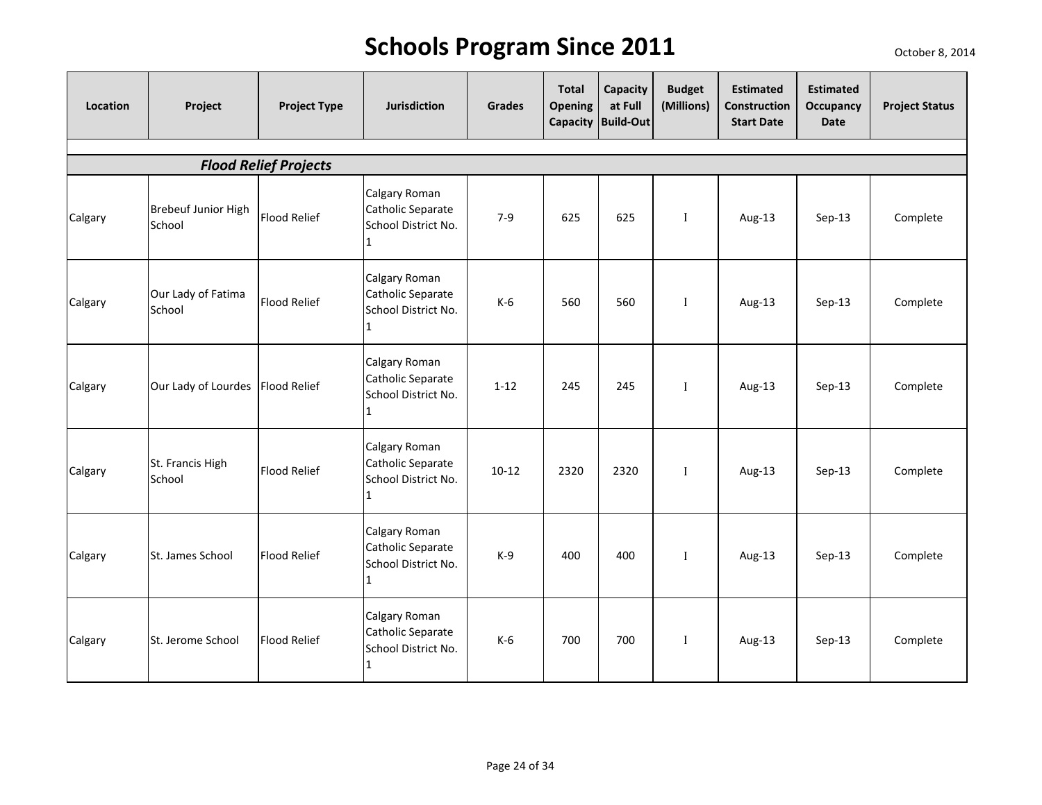| Location | Project                              | <b>Project Type</b>          | <b>Jurisdiction</b>                                            | Grades    | <b>Total</b><br><b>Opening</b> | Capacity<br>at Full<br>Capacity Build-Out | <b>Budget</b><br>(Millions) | <b>Estimated</b><br>Construction<br><b>Start Date</b> | <b>Estimated</b><br>Occupancy<br>Date | <b>Project Status</b> |
|----------|--------------------------------------|------------------------------|----------------------------------------------------------------|-----------|--------------------------------|-------------------------------------------|-----------------------------|-------------------------------------------------------|---------------------------------------|-----------------------|
|          |                                      | <b>Flood Relief Projects</b> |                                                                |           |                                |                                           |                             |                                                       |                                       |                       |
| Calgary  | <b>Brebeuf Junior High</b><br>School | <b>Flood Relief</b>          | Calgary Roman<br>Catholic Separate<br>School District No.<br>1 | $7-9$     | 625                            | 625                                       | $\mathbf I$                 | Aug-13                                                | Sep-13                                | Complete              |
| Calgary  | Our Lady of Fatima<br>School         | <b>Flood Relief</b>          | Calgary Roman<br>Catholic Separate<br>School District No.<br>1 | $K-6$     | 560                            | 560                                       | $\mathbf I$                 | Aug-13                                                | Sep-13                                | Complete              |
| Calgary  | Our Lady of Lourdes Flood Relief     |                              | Calgary Roman<br>Catholic Separate<br>School District No.<br>1 | $1 - 12$  | 245                            | 245                                       | $\mathbf{I}$                | Aug-13                                                | Sep-13                                | Complete              |
| Calgary  | St. Francis High<br>School           | <b>Flood Relief</b>          | Calgary Roman<br>Catholic Separate<br>School District No.<br>1 | $10 - 12$ | 2320                           | 2320                                      | $\mathbf{I}$                | Aug-13                                                | $Sep-13$                              | Complete              |
| Calgary  | St. James School                     | <b>Flood Relief</b>          | Calgary Roman<br>Catholic Separate<br>School District No.<br>1 | $K-9$     | 400                            | 400                                       | $\mathbf{I}$                | Aug-13                                                | $Sep-13$                              | Complete              |
| Calgary  | St. Jerome School                    | <b>Flood Relief</b>          | Calgary Roman<br>Catholic Separate<br>School District No.<br>1 | $K-6$     | 700                            | 700                                       | $\mathbf I$                 | Aug-13                                                | $Sep-13$                              | Complete              |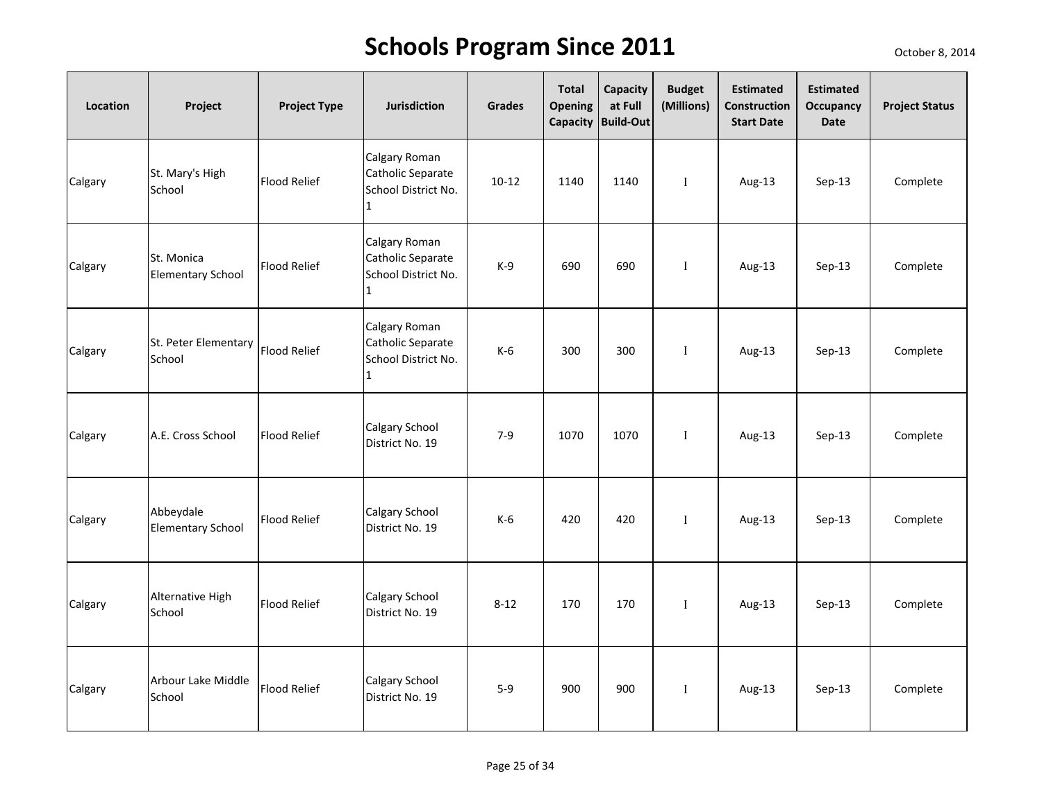| Location | Project                                       | <b>Project Type</b> | <b>Jurisdiction</b>                                                       | <b>Grades</b> | <b>Total</b><br>Opening<br>Capacity | Capacity<br>at Full<br><b>Build-Out</b> | <b>Budget</b><br>(Millions) | <b>Estimated</b><br>Construction<br><b>Start Date</b> | <b>Estimated</b><br>Occupancy<br><b>Date</b> | <b>Project Status</b> |
|----------|-----------------------------------------------|---------------------|---------------------------------------------------------------------------|---------------|-------------------------------------|-----------------------------------------|-----------------------------|-------------------------------------------------------|----------------------------------------------|-----------------------|
| Calgary  | St. Mary's High<br>School                     | <b>Flood Relief</b> | Calgary Roman<br>Catholic Separate<br>School District No.<br>$\mathbf{1}$ | $10 - 12$     | 1140                                | 1140                                    | $\mathbf{I}$                | Aug-13                                                | $Sep-13$                                     | Complete              |
| Calgary  | St. Monica<br><b>Elementary School</b>        | <b>Flood Relief</b> | Calgary Roman<br>Catholic Separate<br>School District No.<br>$\mathbf{1}$ | $K-9$         | 690                                 | 690                                     | $\mathbf{I}$                | Aug-13                                                | $Sep-13$                                     | Complete              |
| Calgary  | St. Peter Elementary   Flood Relief<br>School |                     | Calgary Roman<br>Catholic Separate<br>School District No.<br>$\mathbf{1}$ | $K-6$         | 300                                 | 300                                     | $\mathbf{I}$                | Aug-13                                                | Sep-13                                       | Complete              |
| Calgary  | A.E. Cross School                             | Flood Relief        | Calgary School<br>District No. 19                                         | $7 - 9$       | 1070                                | 1070                                    | $\mathbf{I}$                | Aug-13                                                | $Sep-13$                                     | Complete              |
| Calgary  | Abbeydale<br><b>Elementary School</b>         | Flood Relief        | Calgary School<br>District No. 19                                         | K-6           | 420                                 | 420                                     | $\mathbf{I}$                | Aug-13                                                | $Sep-13$                                     | Complete              |
| Calgary  | Alternative High<br>School                    | <b>Flood Relief</b> | Calgary School<br>District No. 19                                         | $8 - 12$      | 170                                 | 170                                     | $\bf{I}$                    | Aug-13                                                | $Sep-13$                                     | Complete              |
| Calgary  | Arbour Lake Middle<br>School                  | <b>Flood Relief</b> | Calgary School<br>District No. 19                                         | $5-9$         | 900                                 | 900                                     | $\mathbf I$                 | Aug-13                                                | $Sep-13$                                     | Complete              |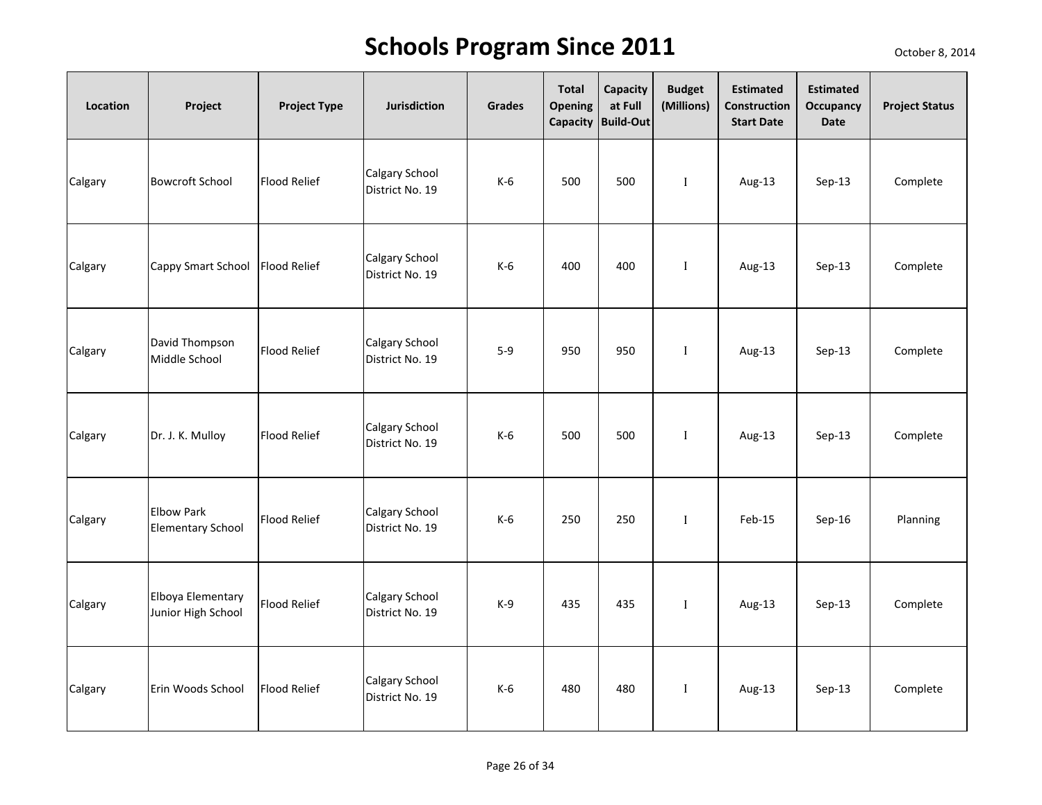| Location | Project                                       | <b>Project Type</b> | <b>Jurisdiction</b>               | Grades | <b>Total</b><br><b>Opening</b> | Capacity<br>at Full<br>Capacity Build-Out | <b>Budget</b><br>(Millions) | <b>Estimated</b><br>Construction<br><b>Start Date</b> | <b>Estimated</b><br>Occupancy<br><b>Date</b> | <b>Project Status</b> |
|----------|-----------------------------------------------|---------------------|-----------------------------------|--------|--------------------------------|-------------------------------------------|-----------------------------|-------------------------------------------------------|----------------------------------------------|-----------------------|
| Calgary  | <b>Bowcroft School</b>                        | <b>Flood Relief</b> | Calgary School<br>District No. 19 | K-6    | 500                            | 500                                       | $\mathbf I$                 | Aug-13                                                | $Sep-13$                                     | Complete              |
| Calgary  | Cappy Smart School Flood Relief               |                     | Calgary School<br>District No. 19 | $K-6$  | 400                            | 400                                       | $\mathbf I$                 | Aug-13                                                | $Sep-13$                                     | Complete              |
| Calgary  | David Thompson<br>Middle School               | <b>Flood Relief</b> | Calgary School<br>District No. 19 | $5-9$  | 950                            | 950                                       | $\mathbf{I}$                | Aug-13                                                | $Sep-13$                                     | Complete              |
| Calgary  | Dr. J. K. Mulloy                              | <b>Flood Relief</b> | Calgary School<br>District No. 19 | $K-6$  | 500                            | 500                                       | $\mathbf I$                 | Aug-13                                                | $Sep-13$                                     | Complete              |
| Calgary  | <b>Elbow Park</b><br><b>Elementary School</b> | <b>Flood Relief</b> | Calgary School<br>District No. 19 | $K-6$  | 250                            | 250                                       | $\mathbf{I}$                | Feb-15                                                | Sep-16                                       | Planning              |
| Calgary  | Elboya Elementary<br>Junior High School       | <b>Flood Relief</b> | Calgary School<br>District No. 19 | $K-9$  | 435                            | 435                                       | $\mathbf I$                 | Aug-13                                                | $Sep-13$                                     | Complete              |
| Calgary  | Erin Woods School                             | <b>Flood Relief</b> | Calgary School<br>District No. 19 | $K-6$  | 480                            | 480                                       | $\mathbf I$                 | Aug-13                                                | Sep-13                                       | Complete              |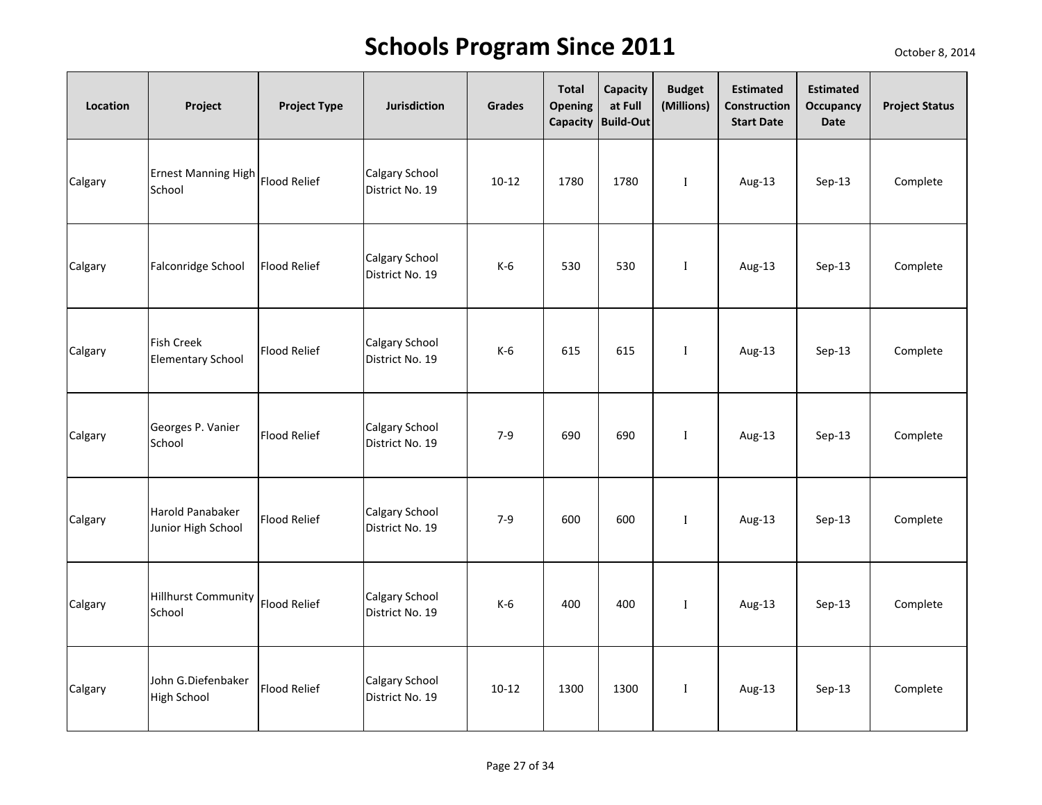| Location | Project                                       | <b>Project Type</b> | <b>Jurisdiction</b>               | Grades    | <b>Total</b><br>Opening | Capacity<br>at Full<br>Capacity Build-Out | <b>Budget</b><br>(Millions) | <b>Estimated</b><br>Construction<br><b>Start Date</b> | <b>Estimated</b><br><b>Occupancy</b><br>Date | <b>Project Status</b> |
|----------|-----------------------------------------------|---------------------|-----------------------------------|-----------|-------------------------|-------------------------------------------|-----------------------------|-------------------------------------------------------|----------------------------------------------|-----------------------|
| Calgary  | <b>Ernest Manning High</b><br>School          | <b>Flood Relief</b> | Calgary School<br>District No. 19 | $10 - 12$ | 1780                    | 1780                                      | $\bf{I}$                    | Aug-13                                                | Sep-13                                       | Complete              |
| Calgary  | Falconridge School                            | <b>Flood Relief</b> | Calgary School<br>District No. 19 | $K-6$     | 530                     | 530                                       | $\mathbf I$                 | Aug-13                                                | Sep-13                                       | Complete              |
| Calgary  | <b>Fish Creek</b><br><b>Elementary School</b> | <b>Flood Relief</b> | Calgary School<br>District No. 19 | $K-6$     | 615                     | 615                                       | $\mathbf{I}$                | Aug-13                                                | Sep-13                                       | Complete              |
| Calgary  | Georges P. Vanier<br>School                   | <b>Flood Relief</b> | Calgary School<br>District No. 19 | $7 - 9$   | 690                     | 690                                       | $\mathbf I$                 | Aug-13                                                | Sep-13                                       | Complete              |
| Calgary  | Harold Panabaker<br>Junior High School        | <b>Flood Relief</b> | Calgary School<br>District No. 19 | $7 - 9$   | 600                     | 600                                       | $\mathbf{I}$                | Aug-13                                                | $Sep-13$                                     | Complete              |
| Calgary  | <b>Hillhurst Community</b><br>School          | <b>Flood Relief</b> | Calgary School<br>District No. 19 | $K-6$     | 400                     | 400                                       | $\mathbf I$                 | Aug-13                                                | Sep-13                                       | Complete              |
| Calgary  | John G.Diefenbaker<br><b>High School</b>      | <b>Flood Relief</b> | Calgary School<br>District No. 19 | $10 - 12$ | 1300                    | 1300                                      | $\mathbf I$                 | Aug-13                                                | Sep-13                                       | Complete              |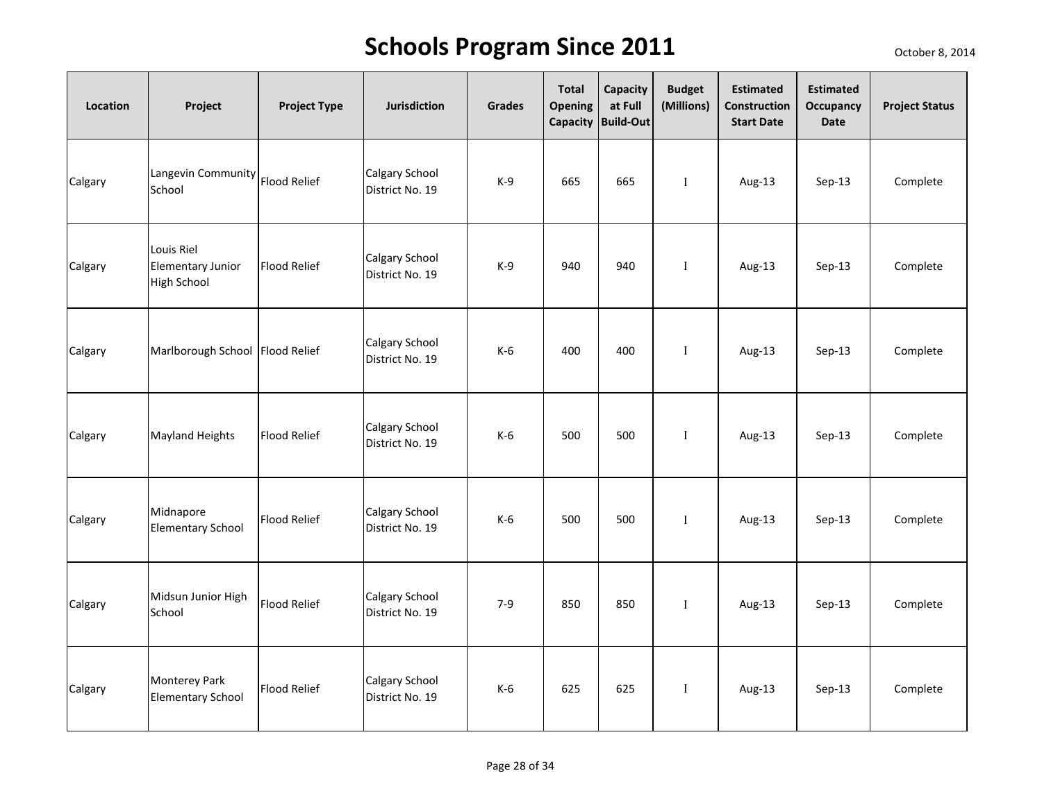| Location | Project                                                      | <b>Project Type</b> | <b>Jurisdiction</b>               | Grades | <b>Total</b><br><b>Opening</b> | Capacity<br>at Full<br>Capacity Build-Out | <b>Budget</b><br>(Millions) | <b>Estimated</b><br>Construction<br><b>Start Date</b> | <b>Estimated</b><br>Occupancy<br><b>Date</b> | <b>Project Status</b> |
|----------|--------------------------------------------------------------|---------------------|-----------------------------------|--------|--------------------------------|-------------------------------------------|-----------------------------|-------------------------------------------------------|----------------------------------------------|-----------------------|
| Calgary  | Langevin Community Flood Relief<br>School                    |                     | Calgary School<br>District No. 19 | $K-9$  | 665                            | 665                                       | $\;$ I                      | Aug-13                                                | $Sep-13$                                     | Complete              |
| Calgary  | Louis Riel<br><b>Elementary Junior</b><br><b>High School</b> | <b>Flood Relief</b> | Calgary School<br>District No. 19 | $K-9$  | 940                            | 940                                       | $\mathbf I$                 | Aug-13                                                | $Sep-13$                                     | Complete              |
| Calgary  | Marlborough School Flood Relief                              |                     | Calgary School<br>District No. 19 | $K-6$  | 400                            | 400                                       | $\mathbf{I}$                | Aug-13                                                | $Sep-13$                                     | Complete              |
| Calgary  | <b>Mayland Heights</b>                                       | <b>Flood Relief</b> | Calgary School<br>District No. 19 | $K-6$  | 500                            | 500                                       | $\mathbf I$                 | Aug-13                                                | $Sep-13$                                     | Complete              |
| Calgary  | Midnapore<br><b>Elementary School</b>                        | <b>Flood Relief</b> | Calgary School<br>District No. 19 | $K-6$  | 500                            | 500                                       | $\mathbf{I}$                | Aug-13                                                | $Sep-13$                                     | Complete              |
| Calgary  | Midsun Junior High<br>School                                 | <b>Flood Relief</b> | Calgary School<br>District No. 19 | $7-9$  | 850                            | 850                                       | $\mathbf I$                 | Aug-13                                                | $Sep-13$                                     | Complete              |
| Calgary  | <b>Monterey Park</b><br><b>Elementary School</b>             | <b>Flood Relief</b> | Calgary School<br>District No. 19 | $K-6$  | 625                            | 625                                       | $\mathbf I$                 | Aug-13                                                | Sep-13                                       | Complete              |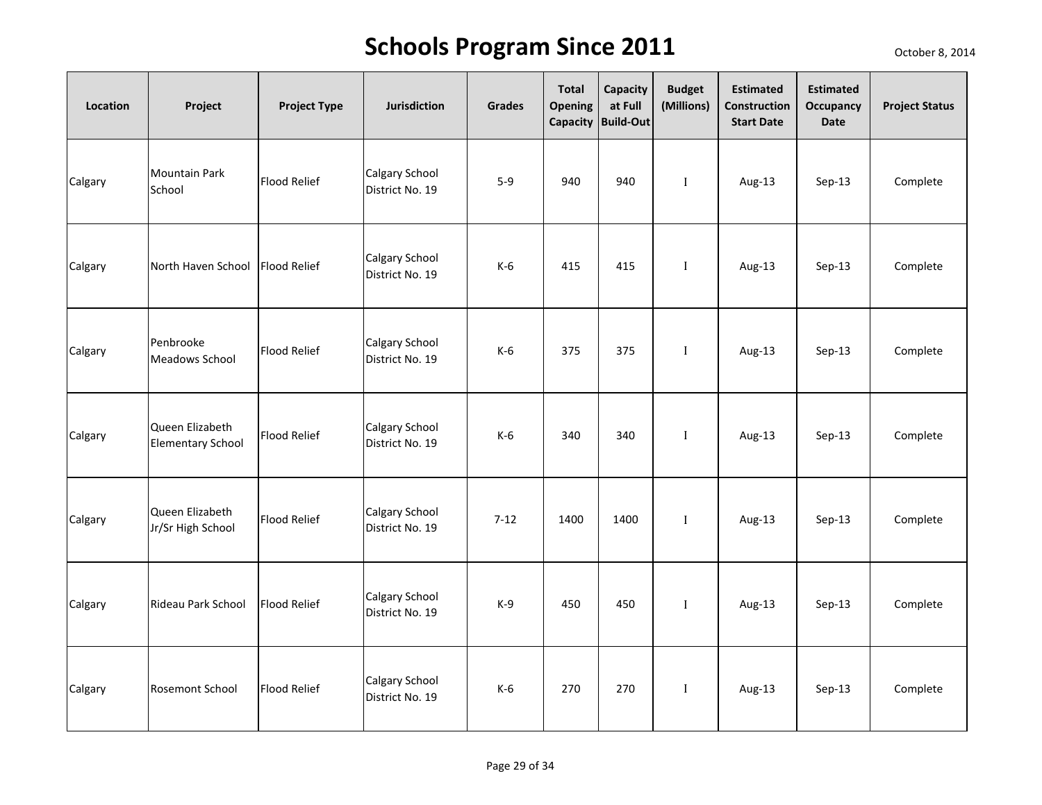| Location | Project                                     | <b>Project Type</b> | <b>Jurisdiction</b>               | Grades   | <b>Total</b><br><b>Opening</b> | Capacity<br>at Full<br>Capacity Build-Out | <b>Budget</b><br>(Millions) | <b>Estimated</b><br>Construction<br><b>Start Date</b> | <b>Estimated</b><br><b>Occupancy</b><br>Date | <b>Project Status</b> |
|----------|---------------------------------------------|---------------------|-----------------------------------|----------|--------------------------------|-------------------------------------------|-----------------------------|-------------------------------------------------------|----------------------------------------------|-----------------------|
| Calgary  | <b>Mountain Park</b><br>School              | <b>Flood Relief</b> | Calgary School<br>District No. 19 | $5-9$    | 940                            | 940                                       | $\mathbf I$                 | Aug-13                                                | Sep-13                                       | Complete              |
| Calgary  | North Haven School                          | <b>Flood Relief</b> | Calgary School<br>District No. 19 | $K-6$    | 415                            | 415                                       | $\mathbf{I}$                | Aug-13                                                | Sep-13                                       | Complete              |
| Calgary  | Penbrooke<br><b>Meadows School</b>          | <b>Flood Relief</b> | Calgary School<br>District No. 19 | $K-6$    | 375                            | 375                                       | $\mathbf{I}$                | Aug-13                                                | Sep-13                                       | Complete              |
| Calgary  | Queen Elizabeth<br><b>Elementary School</b> | <b>Flood Relief</b> | Calgary School<br>District No. 19 | $K-6$    | 340                            | 340                                       | $\mathbf I$                 | Aug-13                                                | Sep-13                                       | Complete              |
| Calgary  | Queen Elizabeth<br>Jr/Sr High School        | <b>Flood Relief</b> | Calgary School<br>District No. 19 | $7 - 12$ | 1400                           | 1400                                      | $\mathbf{I}$                | Aug-13                                                | $Sep-13$                                     | Complete              |
| Calgary  | Rideau Park School                          | <b>Flood Relief</b> | Calgary School<br>District No. 19 | $K-9$    | 450                            | 450                                       | $\mathbf{I}$                | Aug-13                                                | Sep-13                                       | Complete              |
| Calgary  | <b>Rosemont School</b>                      | <b>Flood Relief</b> | Calgary School<br>District No. 19 | $K-6$    | 270                            | 270                                       | $\bf{I}$                    | Aug-13                                                | Sep-13                                       | Complete              |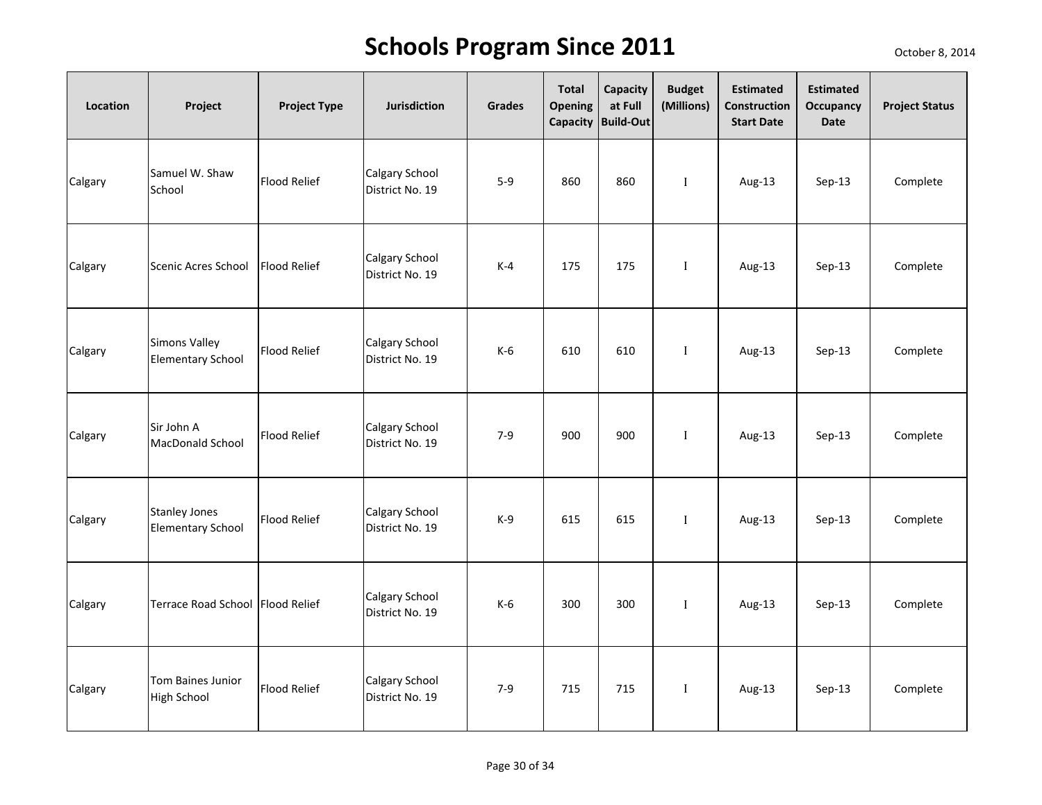| Location | Project                                          | <b>Project Type</b> | <b>Jurisdiction</b>               | Grades  | <b>Total</b><br><b>Opening</b> | Capacity<br>at Full<br>Capacity Build-Out | <b>Budget</b><br>(Millions) | <b>Estimated</b><br>Construction<br><b>Start Date</b> | <b>Estimated</b><br>Occupancy<br><b>Date</b> | <b>Project Status</b> |
|----------|--------------------------------------------------|---------------------|-----------------------------------|---------|--------------------------------|-------------------------------------------|-----------------------------|-------------------------------------------------------|----------------------------------------------|-----------------------|
| Calgary  | Samuel W. Shaw<br>School                         | <b>Flood Relief</b> | Calgary School<br>District No. 19 | $5-9$   | 860                            | 860                                       | $\mathbf I$                 | Aug-13                                                | $Sep-13$                                     | Complete              |
| Calgary  | Scenic Acres School                              | <b>Flood Relief</b> | Calgary School<br>District No. 19 | $K-4$   | 175                            | 175                                       | $\mathbf{I}$                | Aug-13                                                | $Sep-13$                                     | Complete              |
| Calgary  | <b>Simons Valley</b><br><b>Elementary School</b> | <b>Flood Relief</b> | Calgary School<br>District No. 19 | $K-6$   | 610                            | 610                                       | $\mathbf{I}$                | Aug-13                                                | $Sep-13$                                     | Complete              |
| Calgary  | Sir John A<br>MacDonald School                   | <b>Flood Relief</b> | Calgary School<br>District No. 19 | $7 - 9$ | 900                            | 900                                       | $\mathbf{I}$                | Aug-13                                                | $Sep-13$                                     | Complete              |
| Calgary  | <b>Stanley Jones</b><br><b>Elementary School</b> | <b>Flood Relief</b> | Calgary School<br>District No. 19 | $K-9$   | 615                            | 615                                       | $\mathbf{I}$                | Aug-13                                                | $Sep-13$                                     | Complete              |
| Calgary  | Terrace Road School Flood Relief                 |                     | Calgary School<br>District No. 19 | $K-6$   | 300                            | 300                                       | $\mathbf I$                 | Aug-13                                                | Sep-13                                       | Complete              |
| Calgary  | <b>Tom Baines Junior</b><br><b>High School</b>   | <b>Flood Relief</b> | Calgary School<br>District No. 19 | $7-9$   | 715                            | 715                                       | $\mathbf I$                 | Aug-13                                                | Sep-13                                       | Complete              |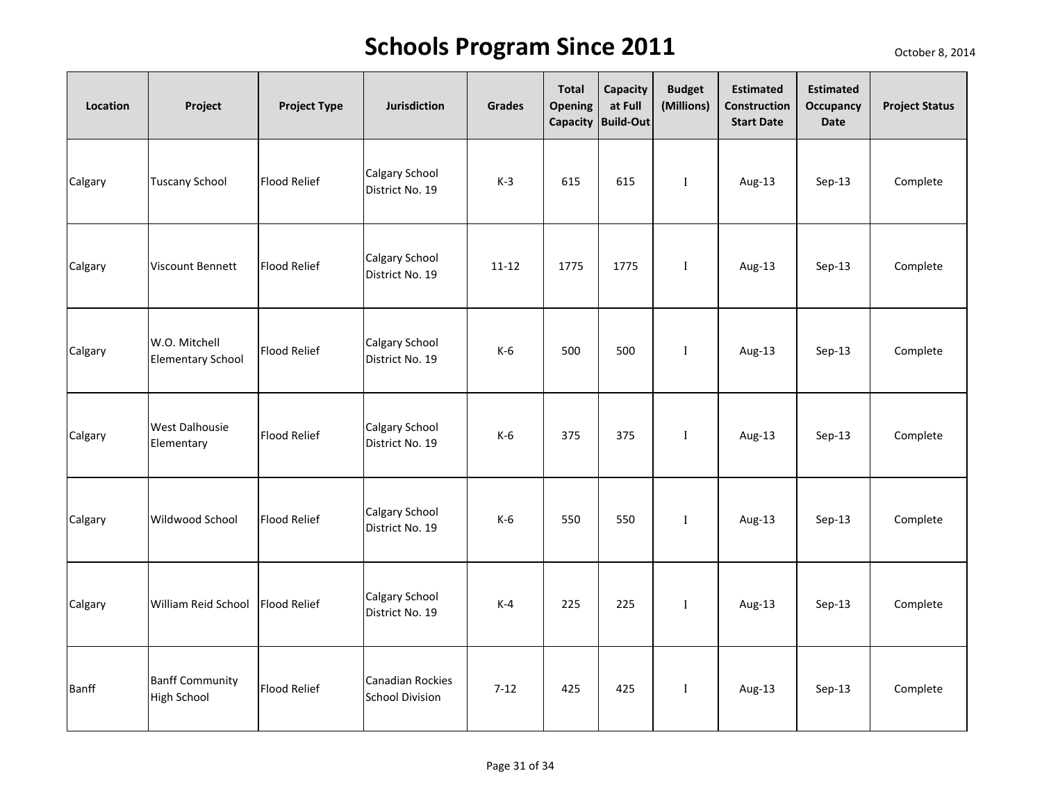| Location | Project                                      | <b>Project Type</b> | <b>Jurisdiction</b>                               | Grades    | <b>Total</b><br><b>Opening</b> | Capacity<br>at Full<br>Capacity Build-Out | <b>Budget</b><br>(Millions) | <b>Estimated</b><br>Construction<br><b>Start Date</b> | <b>Estimated</b><br>Occupancy<br><b>Date</b> | <b>Project Status</b> |
|----------|----------------------------------------------|---------------------|---------------------------------------------------|-----------|--------------------------------|-------------------------------------------|-----------------------------|-------------------------------------------------------|----------------------------------------------|-----------------------|
| Calgary  | <b>Tuscany School</b>                        | <b>Flood Relief</b> | Calgary School<br>District No. 19                 | $K-3$     | 615                            | 615                                       | $\mathbf{I}$                | Aug-13                                                | $Sep-13$                                     | Complete              |
| Calgary  | <b>Viscount Bennett</b>                      | <b>Flood Relief</b> | Calgary School<br>District No. 19                 | $11 - 12$ | 1775                           | 1775                                      | $\mathbf{I}$                | Aug-13                                                | $Sep-13$                                     | Complete              |
| Calgary  | W.O. Mitchell<br><b>Elementary School</b>    | <b>Flood Relief</b> | <b>Calgary School</b><br>District No. 19          | $K-6$     | 500                            | 500                                       | $\mathbf I$                 | Aug-13                                                | Sep-13                                       | Complete              |
| Calgary  | <b>West Dalhousie</b><br>Elementary          | <b>Flood Relief</b> | Calgary School<br>District No. 19                 | $K-6$     | 375                            | 375                                       | $\mathbf I$                 | Aug-13                                                | $Sep-13$                                     | Complete              |
| Calgary  | <b>Wildwood School</b>                       | <b>Flood Relief</b> | Calgary School<br>District No. 19                 | $K-6$     | 550                            | 550                                       | $\mathbf I$                 | Aug-13                                                | $Sep-13$                                     | Complete              |
| Calgary  | William Reid School                          | <b>Flood Relief</b> | Calgary School<br>District No. 19                 | $K-4$     | 225                            | 225                                       | $\;$ I                      | Aug-13                                                | $Sep-13$                                     | Complete              |
| Banff    | <b>Banff Community</b><br><b>High School</b> | <b>Flood Relief</b> | <b>Canadian Rockies</b><br><b>School Division</b> | $7 - 12$  | 425                            | 425                                       | $\mathbf I$                 | Aug-13                                                | $Sep-13$                                     | Complete              |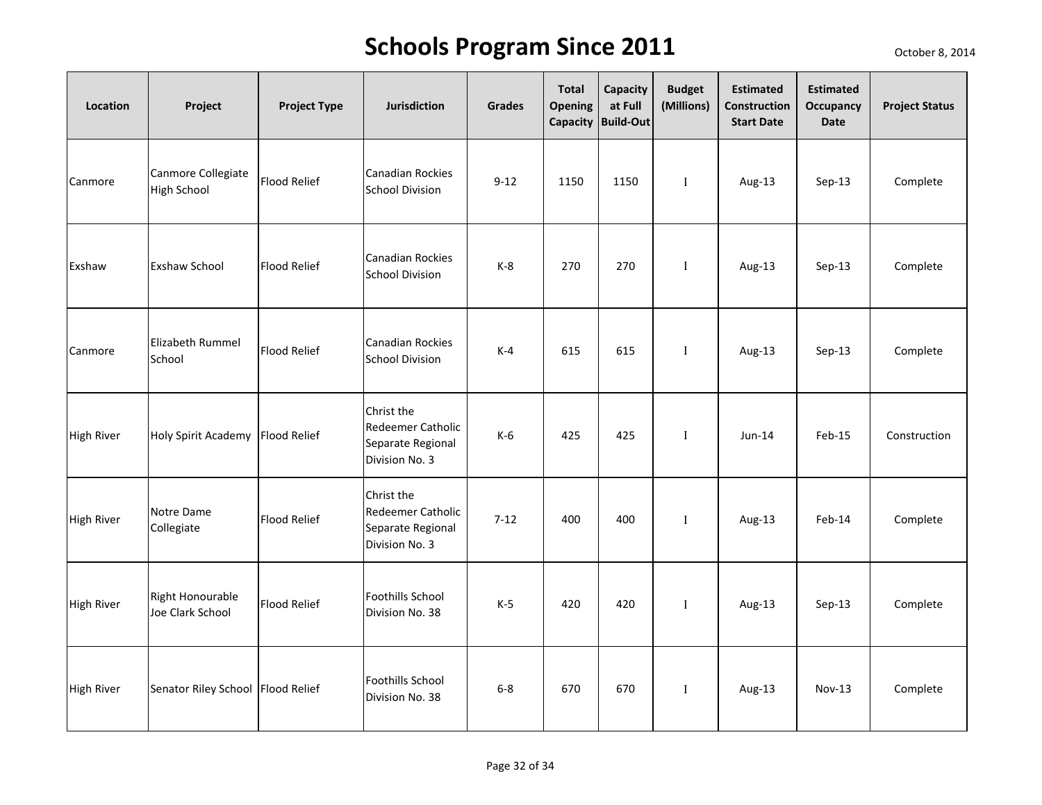| Location          | Project                                  | <b>Project Type</b> | <b>Jurisdiction</b>                                                           | <b>Grades</b> | <b>Total</b><br><b>Opening</b><br>Capacity | Capacity<br>at Full<br><b>Build-Out</b> | <b>Budget</b><br>(Millions) | <b>Estimated</b><br>Construction<br><b>Start Date</b> | <b>Estimated</b><br>Occupancy<br><b>Date</b> | <b>Project Status</b> |
|-------------------|------------------------------------------|---------------------|-------------------------------------------------------------------------------|---------------|--------------------------------------------|-----------------------------------------|-----------------------------|-------------------------------------------------------|----------------------------------------------|-----------------------|
| Canmore           | Canmore Collegiate<br><b>High School</b> | <b>Flood Relief</b> | Canadian Rockies<br><b>School Division</b>                                    | $9 - 12$      | 1150                                       | 1150                                    | $\mathbf{I}$                | Aug-13                                                | $Sep-13$                                     | Complete              |
| Exshaw            | <b>Exshaw School</b>                     | Flood Relief        | <b>Canadian Rockies</b><br><b>School Division</b>                             | $K-8$         | 270                                        | 270                                     | $\mathbf I$                 | Aug-13                                                | $Sep-13$                                     | Complete              |
| Canmore           | <b>Elizabeth Rummel</b><br>School        | <b>Flood Relief</b> | <b>Canadian Rockies</b><br><b>School Division</b>                             | $K-4$         | 615                                        | 615                                     | $\mathbf{I}$                | Aug-13                                                | Sep-13                                       | Complete              |
| <b>High River</b> | Holy Spirit Academy Flood Relief         |                     | Christ the<br>Redeemer Catholic<br>Separate Regional<br>Division No. 3        | $K-6$         | 425                                        | 425                                     | $\mathbf{I}$                | $Jun-14$                                              | Feb-15                                       | Construction          |
| <b>High River</b> | Notre Dame<br>Collegiate                 | <b>Flood Relief</b> | Christ the<br><b>Redeemer Catholic</b><br>Separate Regional<br>Division No. 3 | $7-12$        | 400                                        | 400                                     | $\mathbf I$                 | Aug-13                                                | Feb-14                                       | Complete              |
| High River        | Right Honourable<br>Joe Clark School     | <b>Flood Relief</b> | <b>Foothills School</b><br>Division No. 38                                    | $K-5$         | 420                                        | 420                                     | $\mathbf I$                 | Aug-13                                                | $Sep-13$                                     | Complete              |
| <b>High River</b> | Senator Riley School Flood Relief        |                     | Foothills School<br>Division No. 38                                           | $6 - 8$       | 670                                        | 670                                     | $\mathbf I$                 | Aug-13                                                | $Nov-13$                                     | Complete              |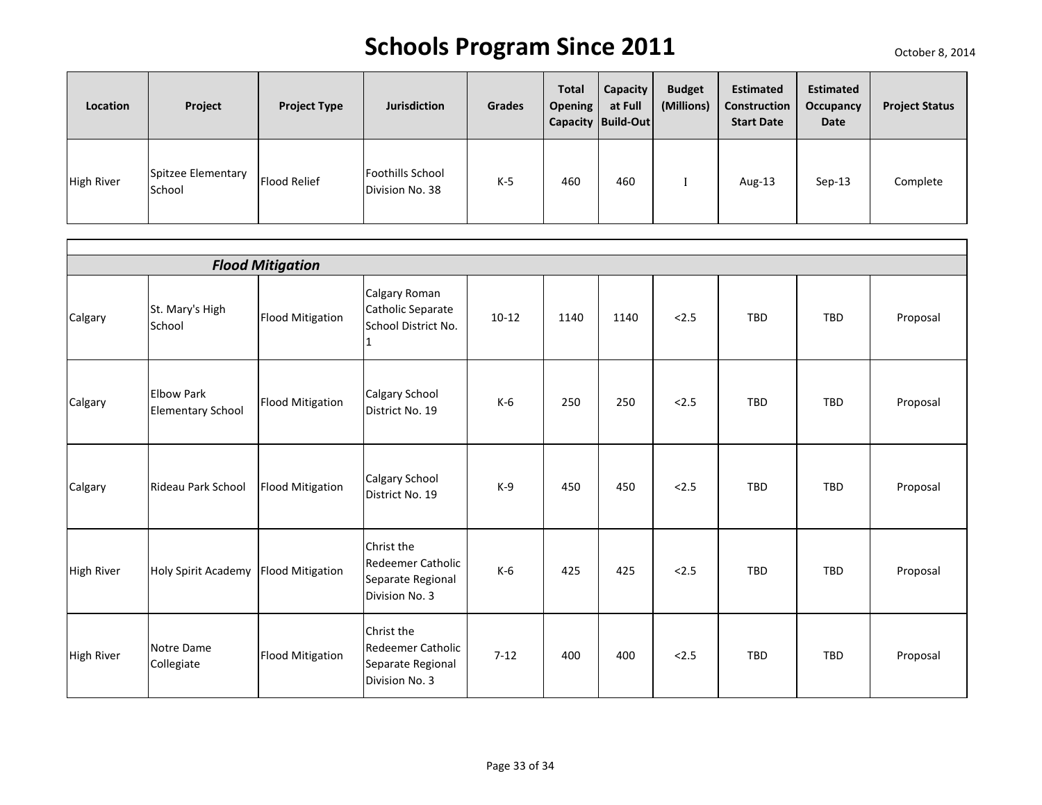| Location          | Project                      | <b>Project Type</b> | <b>Jurisdiction</b>                        | <b>Grades</b> | <b>Total</b><br><b>Opening</b> | <b>Capacity</b><br>at Full<br>Capacity Build-Out | <b>Budget</b><br>(Millions) | <b>Estimated</b><br>Construction<br><b>Start Date</b> | <b>Estimated</b><br>Occupancy<br><b>Date</b> | <b>Project Status</b> |
|-------------------|------------------------------|---------------------|--------------------------------------------|---------------|--------------------------------|--------------------------------------------------|-----------------------------|-------------------------------------------------------|----------------------------------------------|-----------------------|
| <b>High River</b> | Spitzee Elementary<br>School | Flood Relief        | <b>Foothills School</b><br>Division No. 38 | K-5           | 460                            | 460                                              |                             | Aug-13                                                | $Sep-13$                                     | Complete              |

|                   | <b>Flood Mitigation</b>                       |                         |                                                                               |         |      |      |       |     |            |          |  |  |
|-------------------|-----------------------------------------------|-------------------------|-------------------------------------------------------------------------------|---------|------|------|-------|-----|------------|----------|--|--|
| Calgary           | St. Mary's High<br>School                     | <b>Flood Mitigation</b> | Calgary Roman<br>Catholic Separate<br>School District No.<br>1                | $10-12$ | 1140 | 1140 | 2.5   | TBD | TBD        | Proposal |  |  |
| Calgary           | <b>Elbow Park</b><br><b>Elementary School</b> | <b>Flood Mitigation</b> | Calgary School<br>District No. 19                                             | $K-6$   | 250  | 250  | < 2.5 | TBD | <b>TBD</b> | Proposal |  |  |
| Calgary           | Rideau Park School                            | <b>Flood Mitigation</b> | Calgary School<br>District No. 19                                             | $K-9$   | 450  | 450  | < 2.5 | TBD | TBD        | Proposal |  |  |
| <b>High River</b> | Holy Spirit Academy Flood Mitigation          |                         | Christ the<br><b>Redeemer Catholic</b><br>Separate Regional<br>Division No. 3 | $K-6$   | 425  | 425  | < 2.5 | TBD | <b>TBD</b> | Proposal |  |  |
| <b>High River</b> | Notre Dame<br>Collegiate                      | <b>Flood Mitigation</b> | Christ the<br><b>Redeemer Catholic</b><br>Separate Regional<br>Division No. 3 | $7-12$  | 400  | 400  | < 2.5 | TBD | <b>TBD</b> | Proposal |  |  |